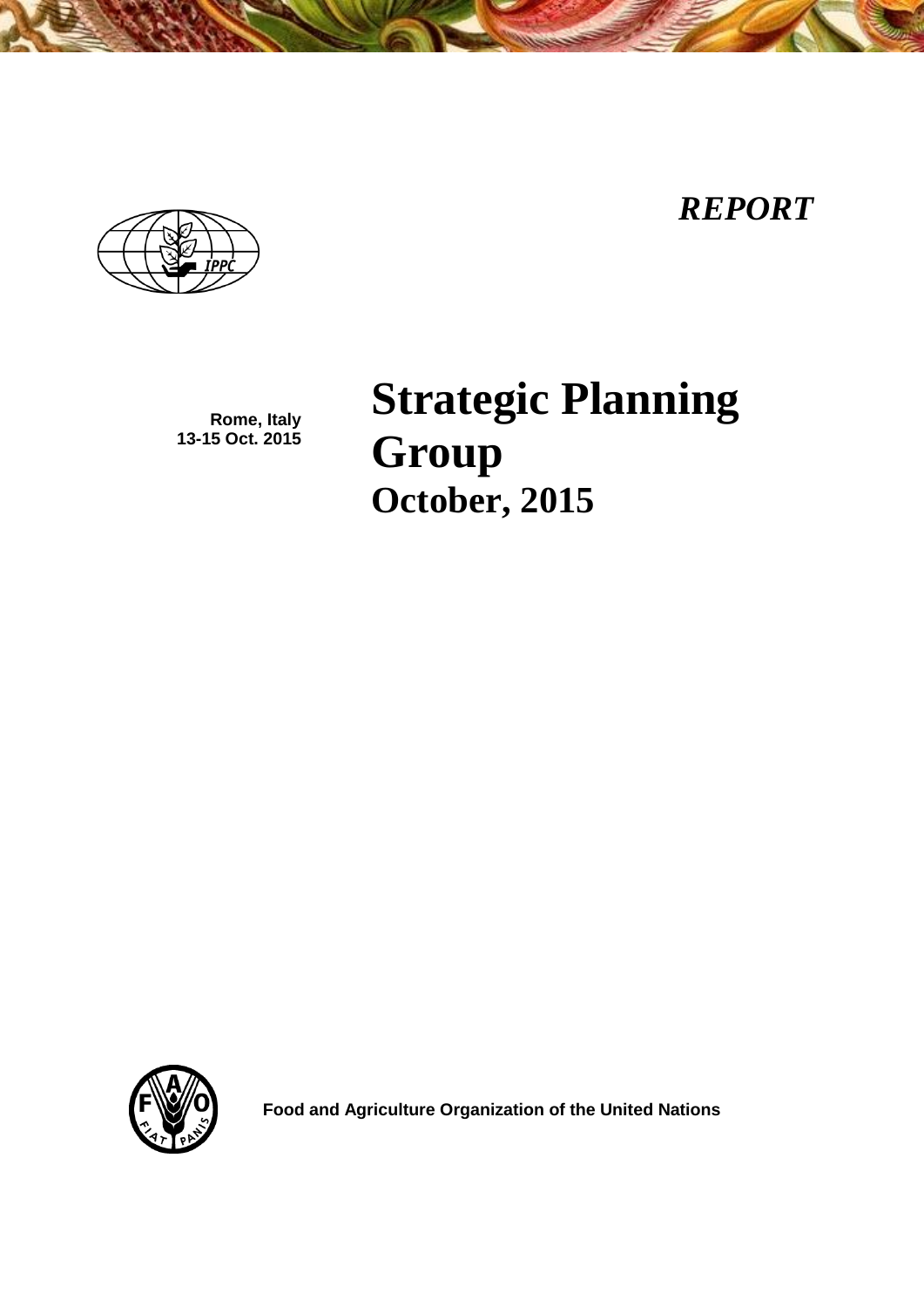# *REPORT*



**Rome, Italy 13-15 Oct. 2015** **Strategic Planning Group October, 2015**



 **Food and Agriculture Organization of the United Nations**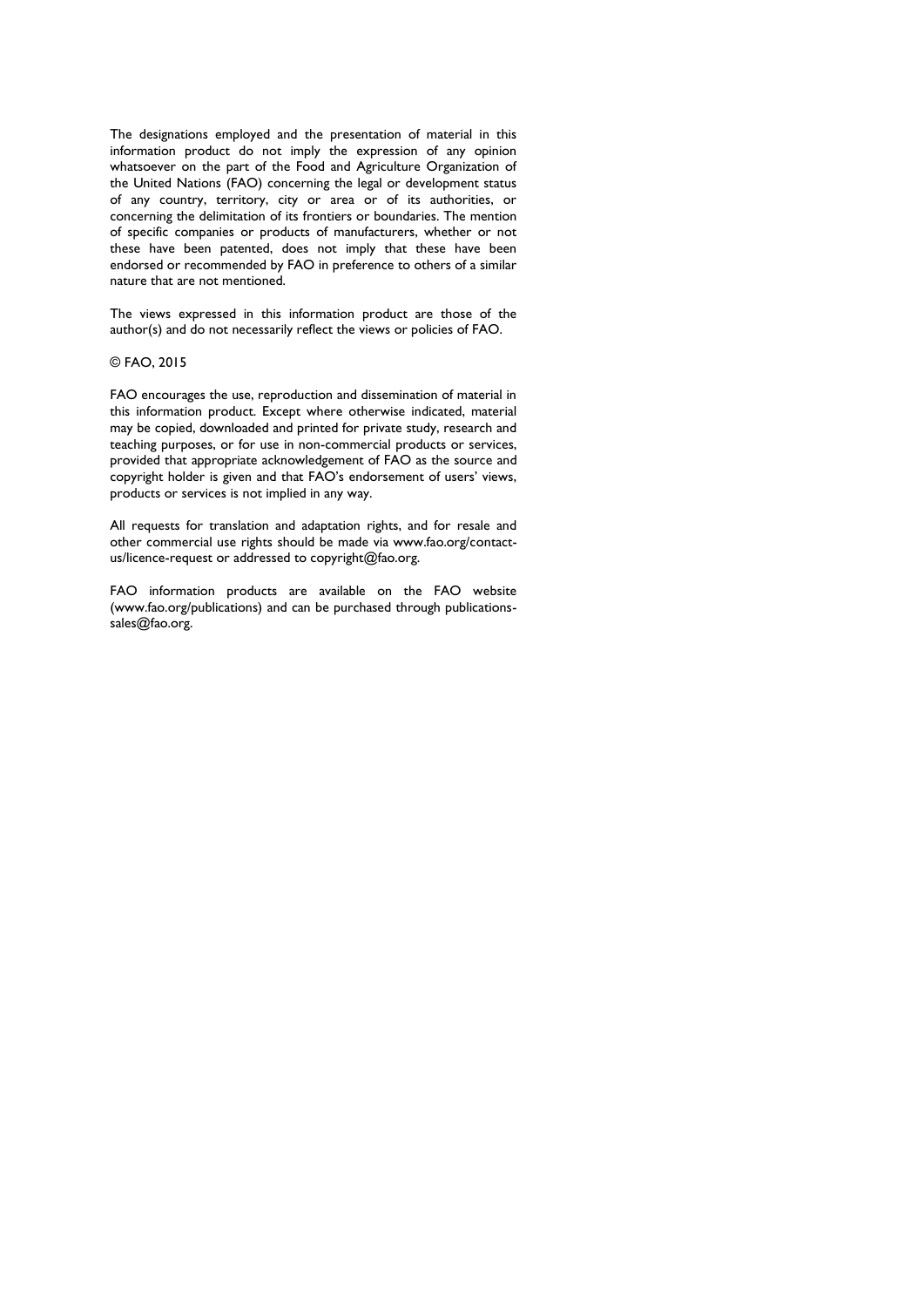The designations employed and the presentation of material in this information product do not imply the expression of any opinion whatsoever on the part of the Food and Agriculture Organization of the United Nations (FAO) concerning the legal or development status of any country, territory, city or area or of its authorities, or concerning the delimitation of its frontiers or boundaries. The mention of specific companies or products of manufacturers, whether or not these have been patented, does not imply that these have been endorsed or recommended by FAO in preference to others of a similar nature that are not mentioned.

The views expressed in this information product are those of the author(s) and do not necessarily reflect the views or policies of FAO.

#### © FAO, 2015

FAO encourages the use, reproduction and dissemination of material in this information product. Except where otherwise indicated, material may be copied, downloaded and printed for private study, research and teaching purposes, or for use in non-commercial products or services, provided that appropriate acknowledgement of FAO as the source and copyright holder is given and that FAO's endorsement of users' views, products or services is not implied in any way.

All requests for translation and adaptation rights, and for resale and other commercial use rights should be made via www.fao.org/contactus/licence-request or addressed to copyright@fao.org.

FAO information products are available on the FAO website (www.fao.org/publications) and can be purchased through publicationssales@fao.org.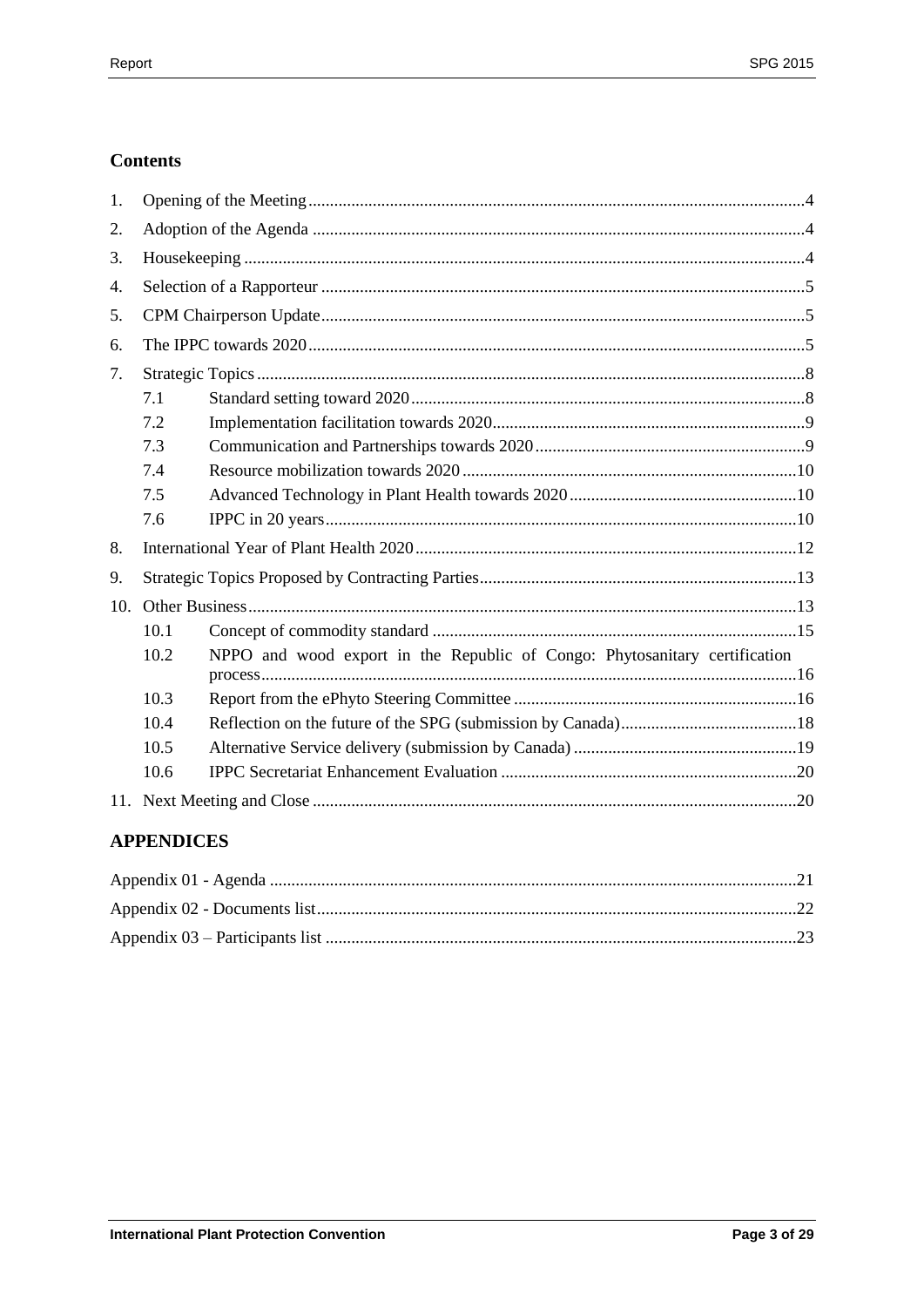# **Contents**

| 1.  |      |                                                                            |  |  |
|-----|------|----------------------------------------------------------------------------|--|--|
| 2.  |      |                                                                            |  |  |
| 3.  |      |                                                                            |  |  |
| 4.  |      |                                                                            |  |  |
| 5.  |      |                                                                            |  |  |
| 6.  |      |                                                                            |  |  |
| 7.  |      |                                                                            |  |  |
|     | 7.1  |                                                                            |  |  |
|     | 7.2  |                                                                            |  |  |
|     | 7.3  |                                                                            |  |  |
|     | 7.4  |                                                                            |  |  |
|     | 7.5  |                                                                            |  |  |
|     | 7.6  |                                                                            |  |  |
| 8.  |      |                                                                            |  |  |
| 9.  |      |                                                                            |  |  |
| 10. |      |                                                                            |  |  |
|     | 10.1 |                                                                            |  |  |
|     | 10.2 | NPPO and wood export in the Republic of Congo: Phytosanitary certification |  |  |
|     |      |                                                                            |  |  |
|     | 10.3 |                                                                            |  |  |
|     | 10.4 |                                                                            |  |  |
|     | 10.5 |                                                                            |  |  |
|     | 10.6 |                                                                            |  |  |
|     |      |                                                                            |  |  |

# **APPENDICES**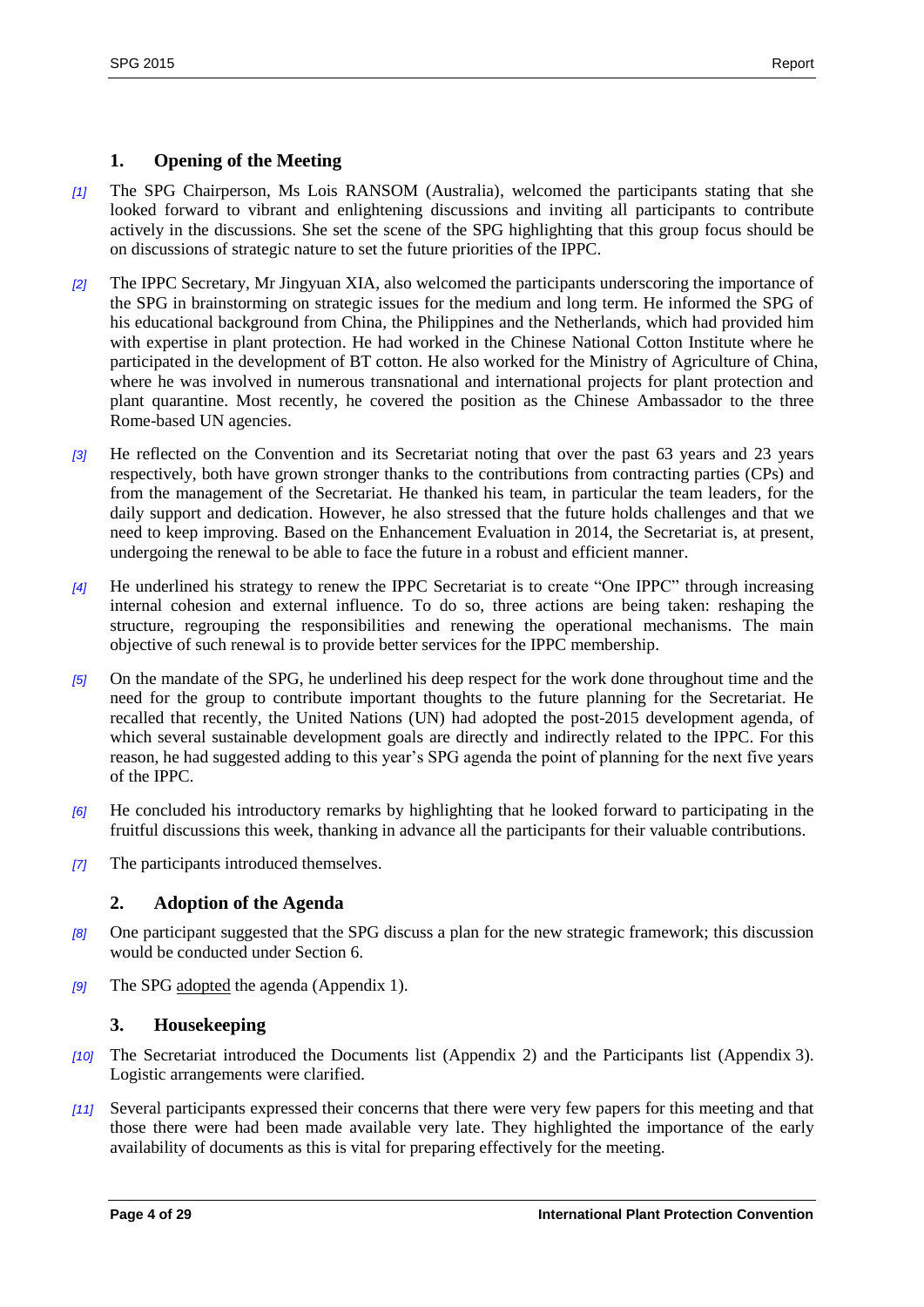## <span id="page-3-0"></span>**1. Opening of the Meeting**

- *[1]* The SPG Chairperson, Ms Lois RANSOM (Australia), welcomed the participants stating that she looked forward to vibrant and enlightening discussions and inviting all participants to contribute actively in the discussions. She set the scene of the SPG highlighting that this group focus should be on discussions of strategic nature to set the future priorities of the IPPC.
- *[2]* The IPPC Secretary, Mr Jingyuan XIA, also welcomed the participants underscoring the importance of the SPG in brainstorming on strategic issues for the medium and long term. He informed the SPG of his educational background from China, the Philippines and the Netherlands, which had provided him with expertise in plant protection. He had worked in the Chinese National Cotton Institute where he participated in the development of BT cotton. He also worked for the Ministry of Agriculture of China, where he was involved in numerous transnational and international projects for plant protection and plant quarantine. Most recently, he covered the position as the Chinese Ambassador to the three Rome-based UN agencies.
- *[3]* He reflected on the Convention and its Secretariat noting that over the past 63 years and 23 years respectively, both have grown stronger thanks to the contributions from contracting parties (CPs) and from the management of the Secretariat. He thanked his team, in particular the team leaders, for the daily support and dedication. However, he also stressed that the future holds challenges and that we need to keep improving. Based on the Enhancement Evaluation in 2014, the Secretariat is, at present, undergoing the renewal to be able to face the future in a robust and efficient manner.
- *[4]* He underlined his strategy to renew the IPPC Secretariat is to create "One IPPC" through increasing internal cohesion and external influence. To do so, three actions are being taken: reshaping the structure, regrouping the responsibilities and renewing the operational mechanisms. The main objective of such renewal is to provide better services for the IPPC membership.
- *[5]* On the mandate of the SPG, he underlined his deep respect for the work done throughout time and the need for the group to contribute important thoughts to the future planning for the Secretariat. He recalled that recently, the United Nations (UN) had adopted the post-2015 development agenda, of which several sustainable development goals are directly and indirectly related to the IPPC. For this reason, he had suggested adding to this year's SPG agenda the point of planning for the next five years of the IPPC.
- *[6]* He concluded his introductory remarks by highlighting that he looked forward to participating in the fruitful discussions this week, thanking in advance all the participants for their valuable contributions.
- *[7]* The participants introduced themselves.

#### <span id="page-3-1"></span>**2. Adoption of the Agenda**

- *[8]* One participant suggested that the SPG discuss a plan for the new strategic framework; this discussion would be conducted under Section 6.
- *[9]* The SPG adopted the agenda (Appendix 1).

#### <span id="page-3-2"></span>**3. Housekeeping**

- *[10]* The Secretariat introduced the Documents list (Appendix 2) and the Participants list (Appendix 3). Logistic arrangements were clarified.
- *[11]* Several participants expressed their concerns that there were very few papers for this meeting and that those there were had been made available very late. They highlighted the importance of the early availability of documents as this is vital for preparing effectively for the meeting.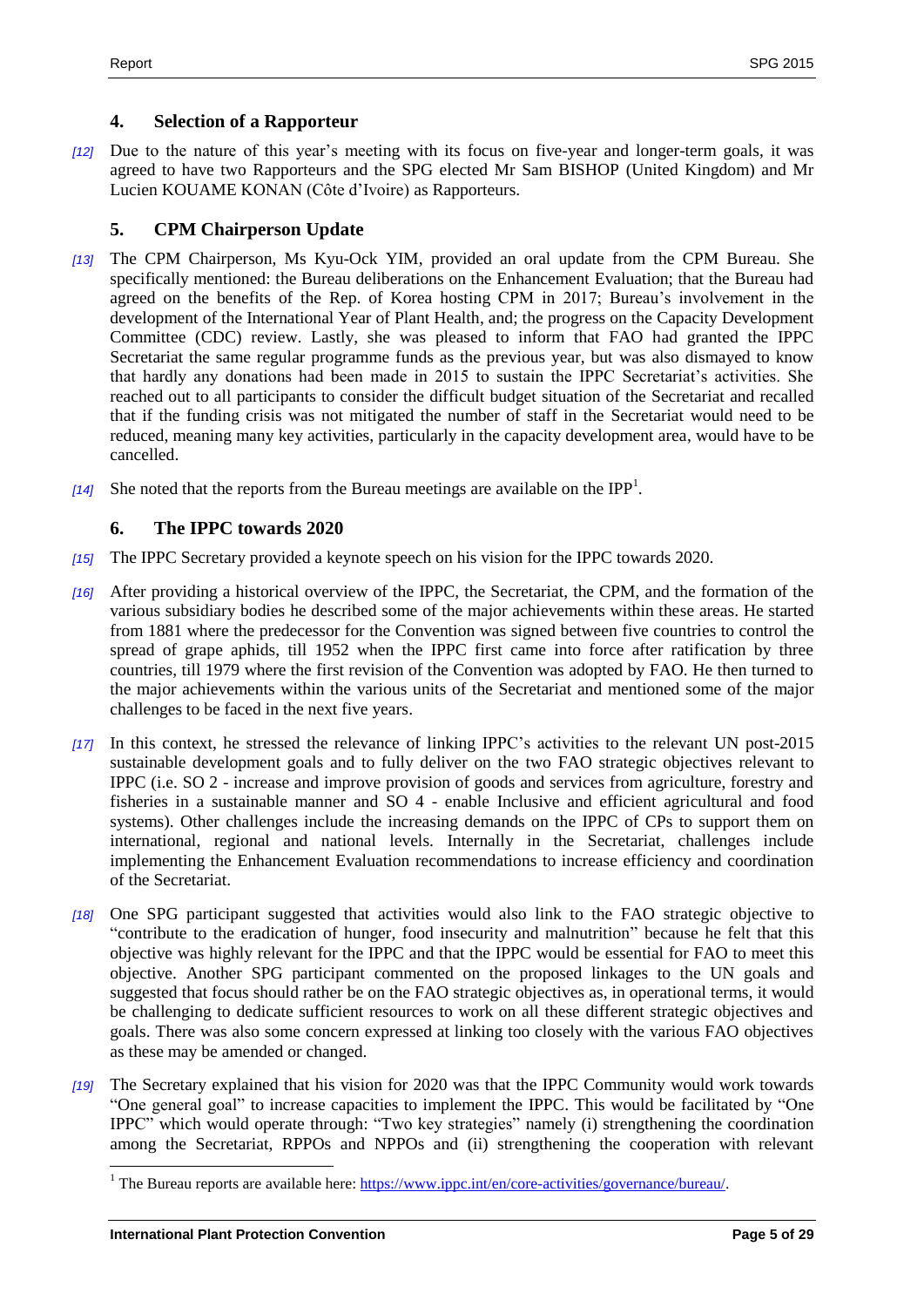#### <span id="page-4-0"></span>**4. Selection of a Rapporteur**

*[12]* Due to the nature of this year's meeting with its focus on five-year and longer-term goals, it was agreed to have two Rapporteurs and the SPG elected Mr Sam BISHOP (United Kingdom) and Mr Lucien KOUAME KONAN (Côte d'Ivoire) as Rapporteurs.

## <span id="page-4-1"></span>**5. CPM Chairperson Update**

- *[13]* The CPM Chairperson, Ms Kyu-Ock YIM, provided an oral update from the CPM Bureau. She specifically mentioned: the Bureau deliberations on the Enhancement Evaluation; that the Bureau had agreed on the benefits of the Rep. of Korea hosting CPM in 2017; Bureau's involvement in the development of the International Year of Plant Health, and; the progress on the Capacity Development Committee (CDC) review. Lastly, she was pleased to inform that FAO had granted the IPPC Secretariat the same regular programme funds as the previous year, but was also dismayed to know that hardly any donations had been made in 2015 to sustain the IPPC Secretariat's activities. She reached out to all participants to consider the difficult budget situation of the Secretariat and recalled that if the funding crisis was not mitigated the number of staff in the Secretariat would need to be reduced, meaning many key activities, particularly in the capacity development area, would have to be cancelled.
- [14] She noted that the reports from the Bureau meetings are available on the IPP<sup>1</sup>.

#### <span id="page-4-2"></span>**6. The IPPC towards 2020**

- *[15]* The IPPC Secretary provided a keynote speech on his vision for the IPPC towards 2020.
- *[16]* After providing a historical overview of the IPPC, the Secretariat, the CPM, and the formation of the various subsidiary bodies he described some of the major achievements within these areas. He started from 1881 where the predecessor for the Convention was signed between five countries to control the spread of grape aphids, till 1952 when the IPPC first came into force after ratification by three countries, till 1979 where the first revision of the Convention was adopted by FAO. He then turned to the major achievements within the various units of the Secretariat and mentioned some of the major challenges to be faced in the next five years.
- *[17]* In this context, he stressed the relevance of linking IPPC's activities to the relevant UN post-2015 sustainable development goals and to fully deliver on the two FAO strategic objectives relevant to IPPC (i.e. [SO 2](http://www.fao.org/about/what-we-do/so2/en/) - increase and improve provision of goods and services from agriculture, forestry and fisheries in a sustainable manner and [SO 4](http://www.fao.org/about/what-we-do/so4/en/) - enable Inclusive and efficient agricultural and food systems). Other challenges include the increasing demands on the IPPC of CPs to support them on international, regional and national levels. Internally in the Secretariat, challenges include implementing the Enhancement Evaluation recommendations to increase efficiency and coordination of the Secretariat.
- *[18]* One SPG participant suggested that activities would also link to the FAO strategic objective to "contribute to the eradication of hunger, food insecurity and malnutrition" because he felt that this objective was highly relevant for the IPPC and that the IPPC would be essential for FAO to meet this objective. Another SPG participant commented on the proposed linkages to the UN goals and suggested that focus should rather be on the FAO strategic objectives as, in operational terms, it would be challenging to dedicate sufficient resources to work on all these different strategic objectives and goals. There was also some concern expressed at linking too closely with the various FAO objectives as these may be amended or changed.
- *[19]* The Secretary explained that his vision for 2020 was that the IPPC Community would work towards "One general goal" to increase capacities to implement the IPPC. This would be facilitated by "One IPPC" which would operate through: "Two key strategies" namely (i) strengthening the coordination among the Secretariat, RPPOs and NPPOs and (ii) strengthening the cooperation with relevant

<sup>&</sup>lt;sup>1</sup> The Bureau reports are available here: [https://www.ippc.int/en/core-activities/governance/bureau/.](https://www.ippc.int/en/core-activities/governance/bureau/)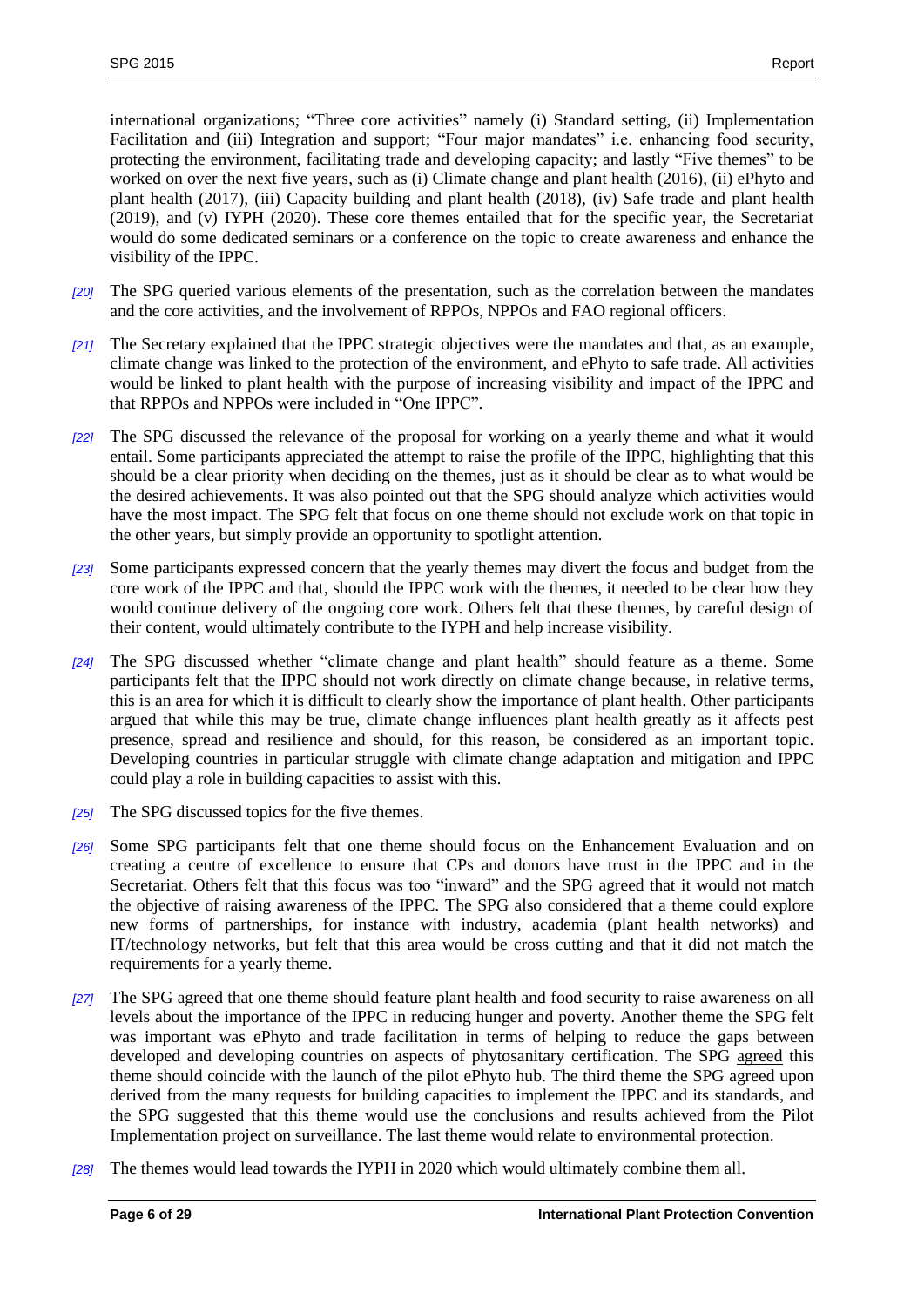international organizations; "Three core activities" namely (i) Standard setting, (ii) Implementation Facilitation and (iii) Integration and support; "Four major mandates" i.e. enhancing food security, protecting the environment, facilitating trade and developing capacity; and lastly "Five themes" to be worked on over the next five years, such as (i) Climate change and plant health (2016), (ii) ePhyto and plant health (2017), (iii) Capacity building and plant health (2018), (iv) Safe trade and plant health (2019), and (v) IYPH (2020). These core themes entailed that for the specific year, the Secretariat would do some dedicated seminars or a conference on the topic to create awareness and enhance the visibility of the IPPC.

- *[20]* The SPG queried various elements of the presentation, such as the correlation between the mandates and the core activities, and the involvement of RPPOs, NPPOs and FAO regional officers.
- *[21]* The Secretary explained that the IPPC strategic objectives were the mandates and that, as an example, climate change was linked to the protection of the environment, and ePhyto to safe trade. All activities would be linked to plant health with the purpose of increasing visibility and impact of the IPPC and that RPPOs and NPPOs were included in "One IPPC".
- *[22]* The SPG discussed the relevance of the proposal for working on a yearly theme and what it would entail. Some participants appreciated the attempt to raise the profile of the IPPC, highlighting that this should be a clear priority when deciding on the themes, just as it should be clear as to what would be the desired achievements. It was also pointed out that the SPG should analyze which activities would have the most impact. The SPG felt that focus on one theme should not exclude work on that topic in the other years, but simply provide an opportunity to spotlight attention.
- *[23]* Some participants expressed concern that the yearly themes may divert the focus and budget from the core work of the IPPC and that, should the IPPC work with the themes, it needed to be clear how they would continue delivery of the ongoing core work. Others felt that these themes, by careful design of their content, would ultimately contribute to the IYPH and help increase visibility.
- *[24]* The SPG discussed whether "climate change and plant health" should feature as a theme. Some participants felt that the IPPC should not work directly on climate change because, in relative terms, this is an area for which it is difficult to clearly show the importance of plant health. Other participants argued that while this may be true, climate change influences plant health greatly as it affects pest presence, spread and resilience and should, for this reason, be considered as an important topic. Developing countries in particular struggle with climate change adaptation and mitigation and IPPC could play a role in building capacities to assist with this.
- *[25]* The SPG discussed topics for the five themes.
- *[26]* Some SPG participants felt that one theme should focus on the Enhancement Evaluation and on creating a centre of excellence to ensure that CPs and donors have trust in the IPPC and in the Secretariat. Others felt that this focus was too "inward" and the SPG agreed that it would not match the objective of raising awareness of the IPPC. The SPG also considered that a theme could explore new forms of partnerships, for instance with industry, academia (plant health networks) and IT/technology networks, but felt that this area would be cross cutting and that it did not match the requirements for a yearly theme.
- *[27]* The SPG agreed that one theme should feature plant health and food security to raise awareness on all levels about the importance of the IPPC in reducing hunger and poverty. Another theme the SPG felt was important was ePhyto and trade facilitation in terms of helping to reduce the gaps between developed and developing countries on aspects of phytosanitary certification. The SPG agreed this theme should coincide with the launch of the pilot ePhyto hub. The third theme the SPG agreed upon derived from the many requests for building capacities to implement the IPPC and its standards, and the SPG suggested that this theme would use the conclusions and results achieved from the Pilot Implementation project on surveillance. The last theme would relate to environmental protection.
- *[28]* The themes would lead towards the IYPH in 2020 which would ultimately combine them all.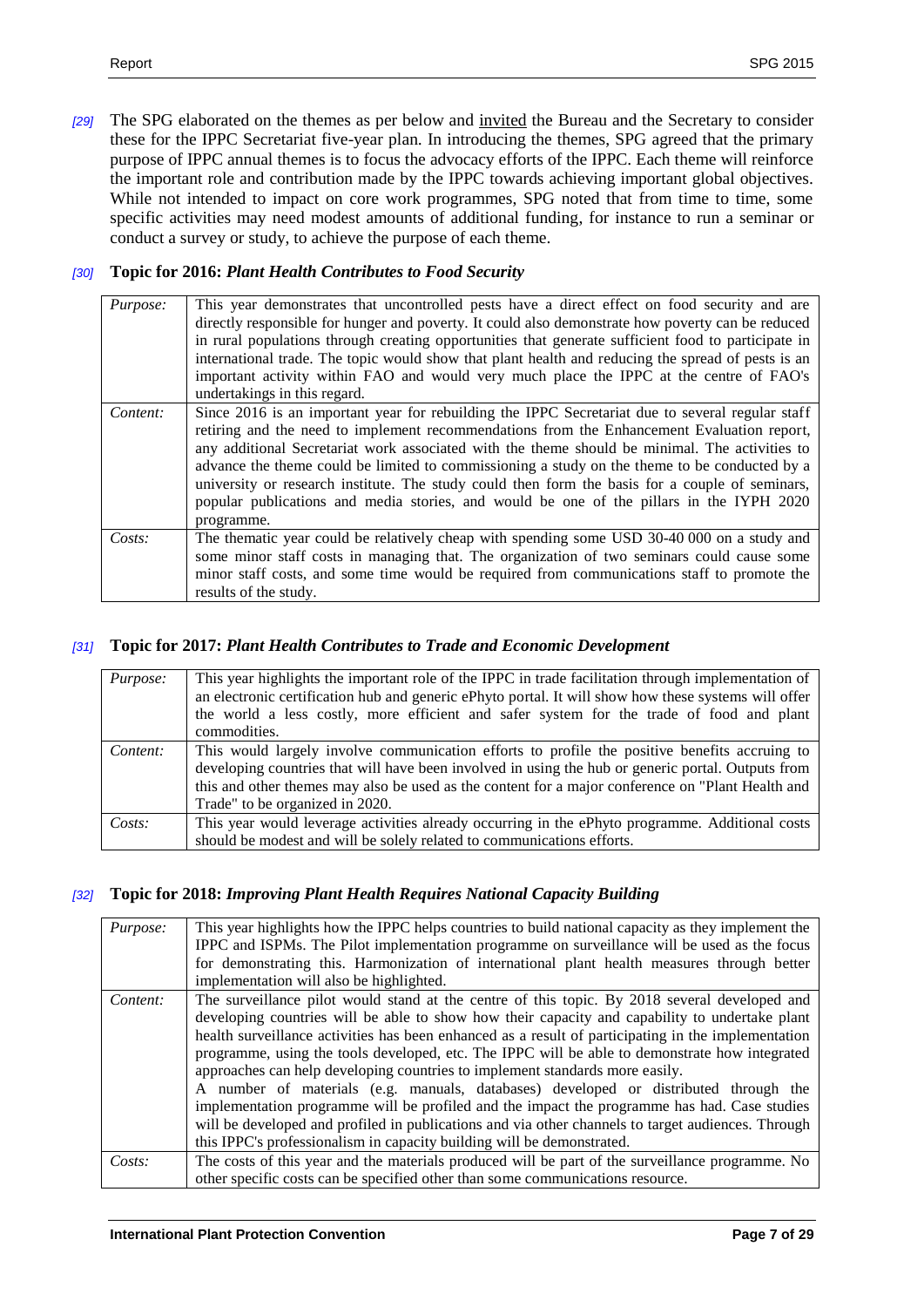*[29]* The SPG elaborated on the themes as per below and invited the Bureau and the Secretary to consider these for the IPPC Secretariat five-year plan. In introducing the themes, SPG agreed that the primary purpose of IPPC annual themes is to focus the advocacy efforts of the IPPC. Each theme will reinforce the important role and contribution made by the IPPC towards achieving important global objectives. While not intended to impact on core work programmes, SPG noted that from time to time, some specific activities may need modest amounts of additional funding, for instance to run a seminar or conduct a survey or study, to achieve the purpose of each theme.

#### *[30]* **Topic for 2016:** *Plant Health Contributes to Food Security*

| Purpose:  | This year demonstrates that uncontrolled pests have a direct effect on food security and are<br>directly responsible for hunger and poverty. It could also demonstrate how poverty can be reduced<br>in rural populations through creating opportunities that generate sufficient food to participate in<br>international trade. The topic would show that plant health and reducing the spread of pests is an<br>important activity within FAO and would very much place the IPPC at the centre of FAO's<br>undertakings in this regard.                                                                      |
|-----------|----------------------------------------------------------------------------------------------------------------------------------------------------------------------------------------------------------------------------------------------------------------------------------------------------------------------------------------------------------------------------------------------------------------------------------------------------------------------------------------------------------------------------------------------------------------------------------------------------------------|
| Content:  | Since 2016 is an important year for rebuilding the IPPC Secretariat due to several regular staff<br>retiring and the need to implement recommendations from the Enhancement Evaluation report,<br>any additional Secretariat work associated with the theme should be minimal. The activities to<br>advance the theme could be limited to commissioning a study on the theme to be conducted by a<br>university or research institute. The study could then form the basis for a couple of seminars,<br>popular publications and media stories, and would be one of the pillars in the IYPH 2020<br>programme. |
| $Costs$ : | The thematic year could be relatively cheap with spending some USD 30-40 000 on a study and<br>some minor staff costs in managing that. The organization of two seminars could cause some<br>minor staff costs, and some time would be required from communications staff to promote the<br>results of the study.                                                                                                                                                                                                                                                                                              |

#### *[31]* **Topic for 2017:** *Plant Health Contributes to Trade and Economic Development*

| <i>Purpose:</i> | This year highlights the important role of the IPPC in trade facilitation through implementation of<br>an electronic certification hub and generic ePhyto portal. It will show how these systems will offer<br>the world a less costly, more efficient and safer system for the trade of food and plant<br>commodities.                     |
|-----------------|---------------------------------------------------------------------------------------------------------------------------------------------------------------------------------------------------------------------------------------------------------------------------------------------------------------------------------------------|
| Content:        | This would largely involve communication efforts to profile the positive benefits accruing to<br>developing countries that will have been involved in using the hub or generic portal. Outputs from<br>this and other themes may also be used as the content for a major conference on "Plant Health and<br>Trade" to be organized in 2020. |
| $Costs$ :       | This year would leverage activities already occurring in the ePhyto programme. Additional costs<br>should be modest and will be solely related to communications efforts.                                                                                                                                                                   |

#### *[32]* **Topic for 2018:** *Improving Plant Health Requires National Capacity Building*

| Purpose:  | This year highlights how the IPPC helps countries to build national capacity as they implement the  |  |  |  |  |
|-----------|-----------------------------------------------------------------------------------------------------|--|--|--|--|
|           | IPPC and ISPMs. The Pilot implementation programme on surveillance will be used as the focus        |  |  |  |  |
|           | for demonstrating this. Harmonization of international plant health measures through better         |  |  |  |  |
|           | implementation will also be highlighted.                                                            |  |  |  |  |
| Content:  | The surveillance pilot would stand at the centre of this topic. By 2018 several developed and       |  |  |  |  |
|           | developing countries will be able to show how their capacity and capability to undertake plant      |  |  |  |  |
|           | health surveillance activities has been enhanced as a result of participating in the implementation |  |  |  |  |
|           | programme, using the tools developed, etc. The IPPC will be able to demonstrate how integrated      |  |  |  |  |
|           | approaches can help developing countries to implement standards more easily.                        |  |  |  |  |
|           | A number of materials (e.g. manuals, databases) developed or distributed through the                |  |  |  |  |
|           | implementation programme will be profiled and the impact the programme has had. Case studies        |  |  |  |  |
|           | will be developed and profiled in publications and via other channels to target audiences. Through  |  |  |  |  |
|           | this IPPC's professionalism in capacity building will be demonstrated.                              |  |  |  |  |
| $Costs$ : | The costs of this year and the materials produced will be part of the surveillance programme. No    |  |  |  |  |
|           | other specific costs can be specified other than some communications resource.                      |  |  |  |  |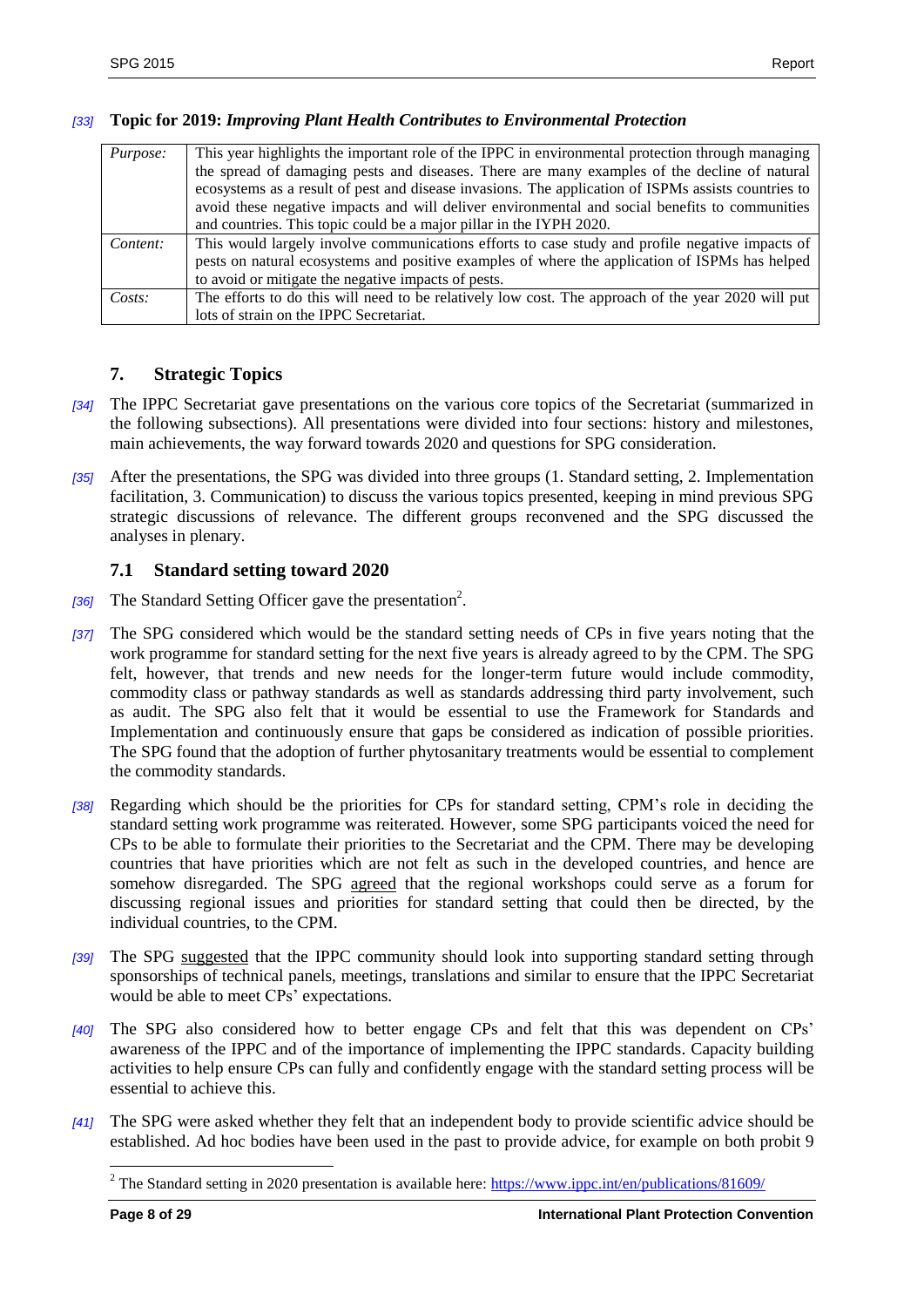#### *[33]* **Topic for 2019:** *Improving Plant Health Contributes to Environmental Protection*

| <i>Purpose:</i> | This year highlights the important role of the IPPC in environmental protection through managing    |
|-----------------|-----------------------------------------------------------------------------------------------------|
|                 | the spread of damaging pests and diseases. There are many examples of the decline of natural        |
|                 | ecosystems as a result of pest and disease invasions. The application of ISPMs assists countries to |
|                 | avoid these negative impacts and will deliver environmental and social benefits to communities      |
|                 | and countries. This topic could be a major pillar in the IYPH 2020.                                 |
| Content:        | This would largely involve communications efforts to case study and profile negative impacts of     |
|                 | pests on natural ecosystems and positive examples of where the application of ISPMs has helped      |
|                 | to avoid or mitigate the negative impacts of pests.                                                 |
| $Costs$ :       | The efforts to do this will need to be relatively low cost. The approach of the year 2020 will put  |
|                 | lots of strain on the IPPC Secretariat.                                                             |

## <span id="page-7-0"></span>**7. Strategic Topics**

- *[34]* The IPPC Secretariat gave presentations on the various core topics of the Secretariat (summarized in the following subsections). All presentations were divided into four sections: history and milestones, main achievements, the way forward towards 2020 and questions for SPG consideration.
- *[35]* After the presentations, the SPG was divided into three groups (1. Standard setting, 2. Implementation facilitation, 3. Communication) to discuss the various topics presented, keeping in mind previous SPG strategic discussions of relevance. The different groups reconvened and the SPG discussed the analyses in plenary.

#### <span id="page-7-1"></span>**7.1 Standard setting toward 2020**

- [36] The Standard Setting Officer gave the presentation<sup>2</sup>.
- *[37]* The SPG considered which would be the standard setting needs of CPs in five years noting that the work programme for standard setting for the next five years is already agreed to by the CPM. The SPG felt, however, that trends and new needs for the longer-term future would include commodity, commodity class or pathway standards as well as standards addressing third party involvement, such as audit. The SPG also felt that it would be essential to use the Framework for Standards and Implementation and continuously ensure that gaps be considered as indication of possible priorities. The SPG found that the adoption of further phytosanitary treatments would be essential to complement the commodity standards.
- *[38]* Regarding which should be the priorities for CPs for standard setting, CPM's role in deciding the standard setting work programme was reiterated. However, some SPG participants voiced the need for CPs to be able to formulate their priorities to the Secretariat and the CPM. There may be developing countries that have priorities which are not felt as such in the developed countries, and hence are somehow disregarded. The SPG agreed that the regional workshops could serve as a forum for discussing regional issues and priorities for standard setting that could then be directed, by the individual countries, to the CPM.
- *[39]* The SPG suggested that the IPPC community should look into supporting standard setting through sponsorships of technical panels, meetings, translations and similar to ensure that the IPPC Secretariat would be able to meet CPs' expectations.
- *[40]* The SPG also considered how to better engage CPs and felt that this was dependent on CPs' awareness of the IPPC and of the importance of implementing the IPPC standards. Capacity building activities to help ensure CPs can fully and confidently engage with the standard setting process will be essential to achieve this.
- *[41]* The SPG were asked whether they felt that an independent body to provide scientific advice should be established. Ad hoc bodies have been used in the past to provide advice, for example on both probit 9

<sup>&</sup>lt;sup>2</sup> The Standard setting in 2020 presentation is available here:  $\frac{https://www.ippc.int/en/publications/81609/}{https://www.ippc.int/en/publications/81609/}$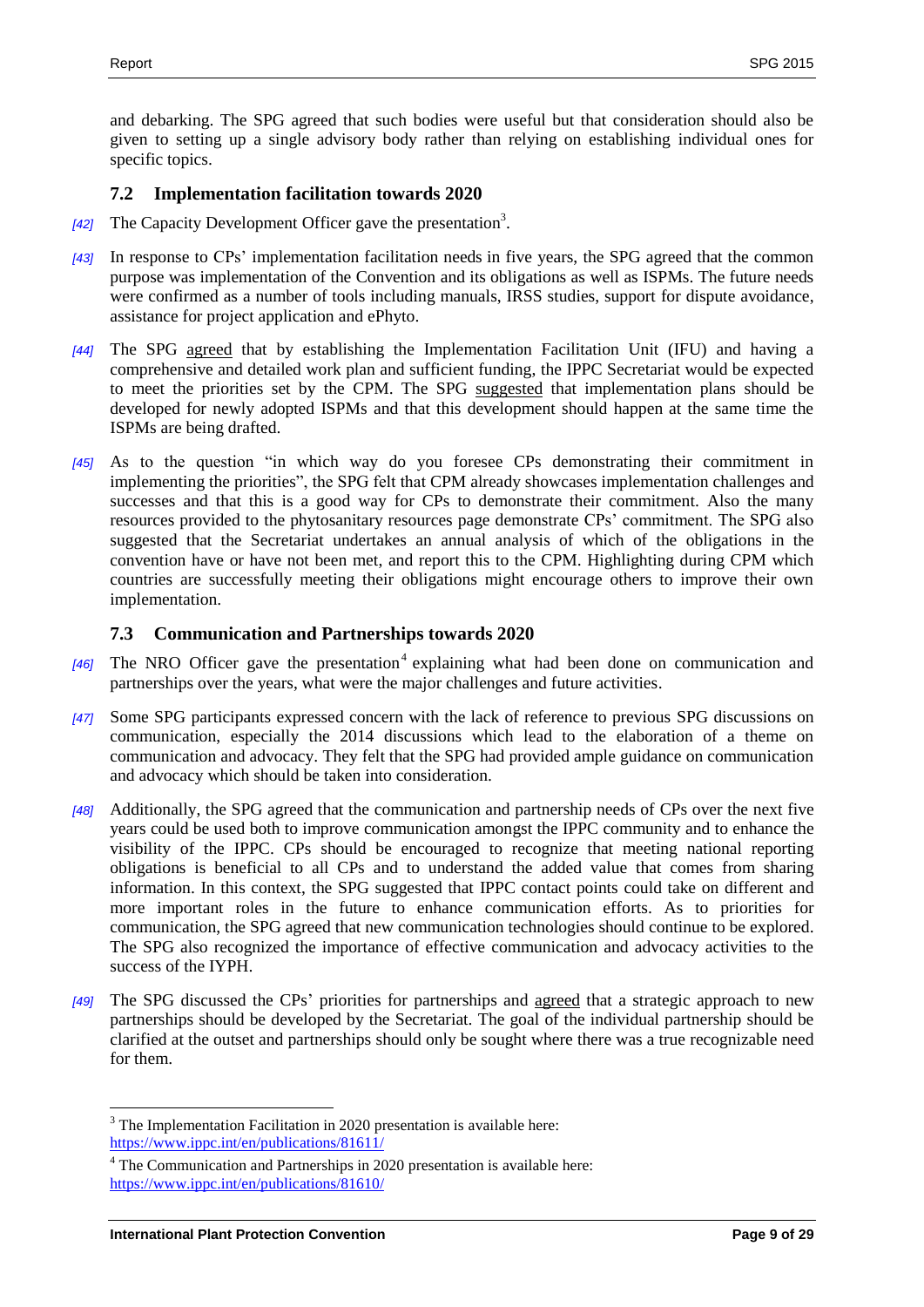and debarking. The SPG agreed that such bodies were useful but that consideration should also be given to setting up a single advisory body rather than relying on establishing individual ones for specific topics.

#### <span id="page-8-0"></span>**7.2 Implementation facilitation towards 2020**

- [42] The Capacity Development Officer gave the presentation<sup>3</sup>.
- *[43]* In response to CPs' implementation facilitation needs in five years, the SPG agreed that the common purpose was implementation of the Convention and its obligations as well as ISPMs. The future needs were confirmed as a number of tools including manuals, IRSS studies, support for dispute avoidance, assistance for project application and ePhyto.
- *[44]* The SPG agreed that by establishing the Implementation Facilitation Unit (IFU) and having a comprehensive and detailed work plan and sufficient funding, the IPPC Secretariat would be expected to meet the priorities set by the CPM. The SPG suggested that implementation plans should be developed for newly adopted ISPMs and that this development should happen at the same time the ISPMs are being drafted.
- *[45]* As to the question "in which way do you foresee CPs demonstrating their commitment in implementing the priorities", the SPG felt that CPM already showcases implementation challenges and successes and that this is a good way for CPs to demonstrate their commitment. Also the many resources provided to the phytosanitary resources page demonstrate CPs' commitment. The SPG also suggested that the Secretariat undertakes an annual analysis of which of the obligations in the convention have or have not been met, and report this to the CPM. Highlighting during CPM which countries are successfully meeting their obligations might encourage others to improve their own implementation.

#### <span id="page-8-1"></span>**7.3 Communication and Partnerships towards 2020**

- [46] The NRO Officer gave the presentation<sup>4</sup> explaining what had been done on communication and partnerships over the years, what were the major challenges and future activities.
- *[47]* Some SPG participants expressed concern with the lack of reference to previous SPG discussions on communication, especially the 2014 discussions which lead to the elaboration of a theme on communication and advocacy. They felt that the SPG had provided ample guidance on communication and advocacy which should be taken into consideration.
- *[48]* Additionally, the SPG agreed that the communication and partnership needs of CPs over the next five years could be used both to improve communication amongst the IPPC community and to enhance the visibility of the IPPC. CPs should be encouraged to recognize that meeting national reporting obligations is beneficial to all CPs and to understand the added value that comes from sharing information. In this context, the SPG suggested that IPPC contact points could take on different and more important roles in the future to enhance communication efforts. As to priorities for communication, the SPG agreed that new communication technologies should continue to be explored. The SPG also recognized the importance of effective communication and advocacy activities to the success of the IYPH.
- *[49]* The SPG discussed the CPs' priorities for partnerships and agreed that a strategic approach to new partnerships should be developed by the Secretariat. The goal of the individual partnership should be clarified at the outset and partnerships should only be sought where there was a true recognizable need for them.

 $3$  The Implementation Facilitation in 2020 presentation is available here: <https://www.ippc.int/en/publications/81611/>

<sup>&</sup>lt;sup>4</sup> The Communication and Partnerships in 2020 presentation is available here: <https://www.ippc.int/en/publications/81610/>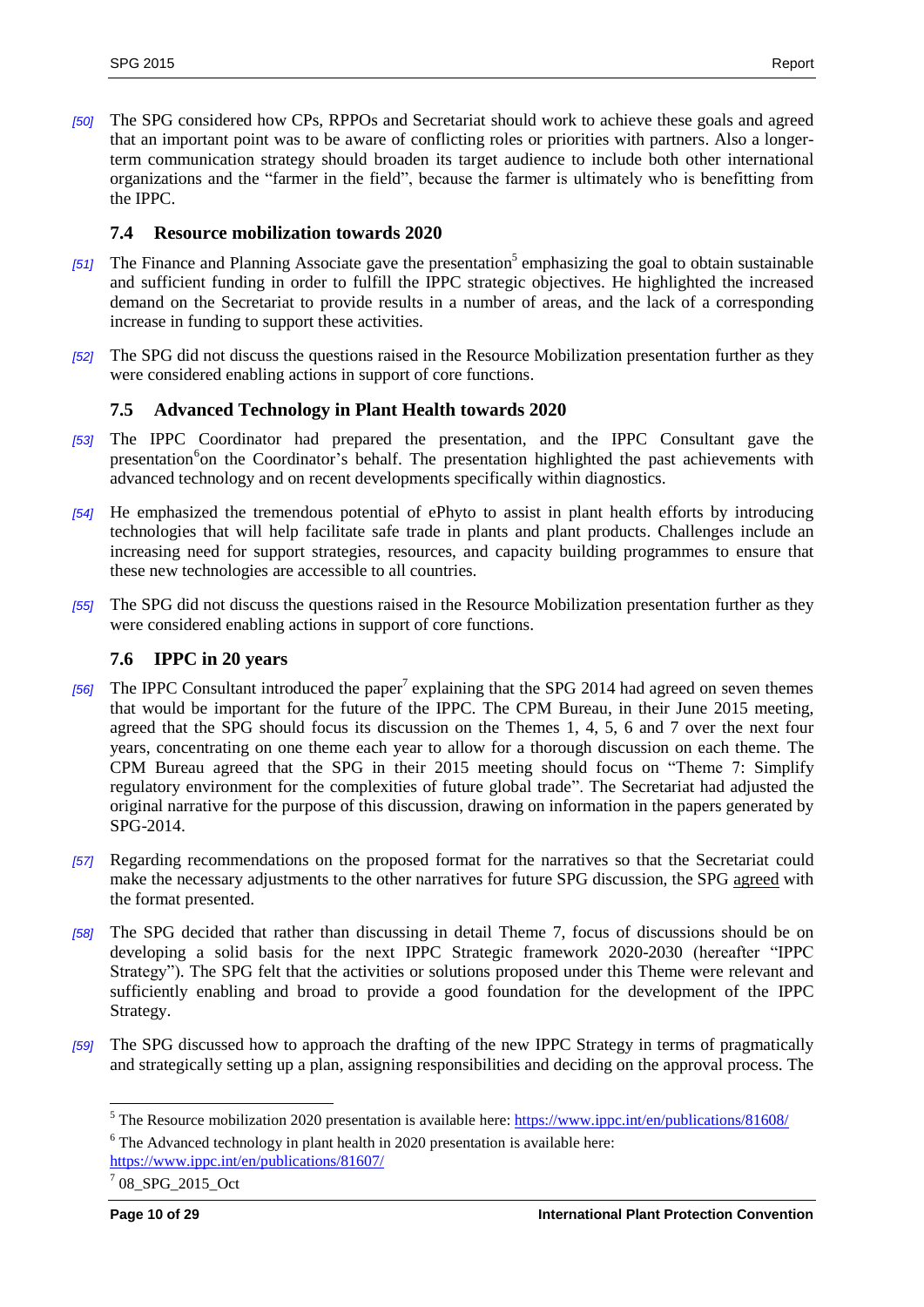*[50]* The SPG considered how CPs, RPPOs and Secretariat should work to achieve these goals and agreed that an important point was to be aware of conflicting roles or priorities with partners. Also a longerterm communication strategy should broaden its target audience to include both other international organizations and the "farmer in the field", because the farmer is ultimately who is benefitting from the IPPC.

#### <span id="page-9-0"></span>**7.4 Resource mobilization towards 2020**

- [51] The Finance and Planning Associate gave the presentation<sup>5</sup> emphasizing the goal to obtain sustainable and sufficient funding in order to fulfill the IPPC strategic objectives. He highlighted the increased demand on the Secretariat to provide results in a number of areas, and the lack of a corresponding increase in funding to support these activities.
- *[52]* The SPG did not discuss the questions raised in the Resource Mobilization presentation further as they were considered enabling actions in support of core functions.

#### <span id="page-9-1"></span>**7.5 Advanced Technology in Plant Health towards 2020**

- *[53]* The IPPC Coordinator had prepared the presentation, and the IPPC Consultant gave the presentation<sup>6</sup>on the Coordinator's behalf. The presentation highlighted the past achievements with advanced technology and on recent developments specifically within diagnostics.
- *[54]* He emphasized the tremendous potential of ePhyto to assist in plant health efforts by introducing technologies that will help facilitate safe trade in plants and plant products. Challenges include an increasing need for support strategies, resources, and capacity building programmes to ensure that these new technologies are accessible to all countries.
- *[55]* The SPG did not discuss the questions raised in the Resource Mobilization presentation further as they were considered enabling actions in support of core functions.

#### <span id="page-9-2"></span>**7.6 IPPC in 20 years**

- [56] The IPPC Consultant introduced the paper<sup>7</sup> explaining that the SPG 2014 had agreed on seven themes that would be important for the future of the IPPC. The CPM Bureau, in their June 2015 meeting, agreed that the SPG should focus its discussion on the Themes 1, 4, 5, 6 and 7 over the next four years, concentrating on one theme each year to allow for a thorough discussion on each theme. The CPM Bureau agreed that the SPG in their 2015 meeting should focus on "Theme 7: Simplify regulatory environment for the complexities of future global trade". The Secretariat had adjusted the original narrative for the purpose of this discussion, drawing on information in the papers generated by SPG-2014.
- *[57]* Regarding recommendations on the proposed format for the narratives so that the Secretariat could make the necessary adjustments to the other narratives for future SPG discussion, the SPG agreed with the format presented.
- *[58]* The SPG decided that rather than discussing in detail Theme 7, focus of discussions should be on developing a solid basis for the next IPPC Strategic framework 2020-2030 (hereafter "IPPC Strategy"). The SPG felt that the activities or solutions proposed under this Theme were relevant and sufficiently enabling and broad to provide a good foundation for the development of the IPPC Strategy.
- *[59]* The SPG discussed how to approach the drafting of the new IPPC Strategy in terms of pragmatically and strategically setting up a plan, assigning responsibilities and deciding on the approval process. The

<sup>&</sup>lt;sup>5</sup> The Resource mobilization 2020 presentation is available here:  $\frac{https://www.ippc.int/en/publications/81608/n}{https://www.ippc.int/en/publications/81608/n}$  $6$  The Advanced technology in plant health in 2020 presentation is available here:

<https://www.ippc.int/en/publications/81607/>

 $1708$ \_SPG\_2015\_Oct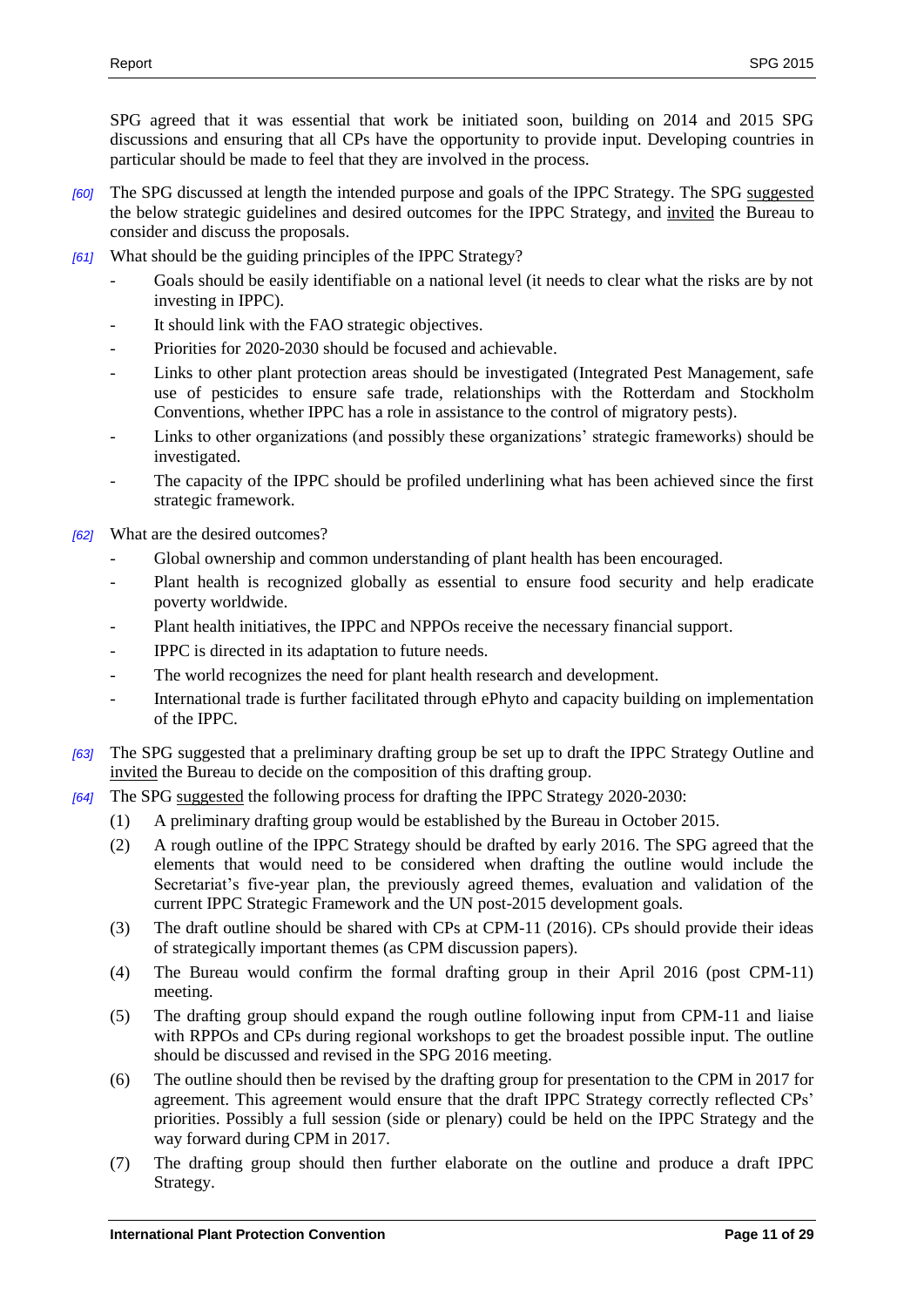SPG agreed that it was essential that work be initiated soon, building on 2014 and 2015 SPG discussions and ensuring that all CPs have the opportunity to provide input. Developing countries in particular should be made to feel that they are involved in the process.

- *[60]* The SPG discussed at length the intended purpose and goals of the IPPC Strategy. The SPG suggested the below strategic guidelines and desired outcomes for the IPPC Strategy, and invited the Bureau to consider and discuss the proposals.
- *[61]* What should be the guiding principles of the IPPC Strategy?
	- Goals should be easily identifiable on a national level (it needs to clear what the risks are by not investing in IPPC).
	- It should link with the FAO strategic objectives.
	- Priorities for 2020-2030 should be focused and achievable.
	- Links to other plant protection areas should be investigated (Integrated Pest Management, safe use of pesticides to ensure safe trade, relationships with the Rotterdam and Stockholm Conventions, whether IPPC has a role in assistance to the control of migratory pests).
	- Links to other organizations (and possibly these organizations' strategic frameworks) should be investigated.
	- The capacity of the IPPC should be profiled underlining what has been achieved since the first strategic framework.

*[62]* What are the desired outcomes?

- Global ownership and common understanding of plant health has been encouraged.
- Plant health is recognized globally as essential to ensure food security and help eradicate poverty worldwide.
- Plant health initiatives, the IPPC and NPPOs receive the necessary financial support.
- IPPC is directed in its adaptation to future needs.
- The world recognizes the need for plant health research and development.
- International trade is further facilitated through ePhyto and capacity building on implementation of the IPPC.
- *[63]* The SPG suggested that a preliminary drafting group be set up to draft the IPPC Strategy Outline and invited the Bureau to decide on the composition of this drafting group.
- *[64]* The SPG suggested the following process for drafting the IPPC Strategy 2020-2030:
	- (1) A preliminary drafting group would be established by the Bureau in October 2015.
	- (2) A rough outline of the IPPC Strategy should be drafted by early 2016. The SPG agreed that the elements that would need to be considered when drafting the outline would include the Secretariat's five-year plan, the previously agreed themes, evaluation and validation of the current IPPC Strategic Framework and the UN post-2015 development goals.
	- (3) The draft outline should be shared with CPs at CPM-11 (2016). CPs should provide their ideas of strategically important themes (as CPM discussion papers).
	- (4) The Bureau would confirm the formal drafting group in their April 2016 (post CPM-11) meeting.
	- (5) The drafting group should expand the rough outline following input from CPM-11 and liaise with RPPOs and CPs during regional workshops to get the broadest possible input. The outline should be discussed and revised in the SPG 2016 meeting.
	- (6) The outline should then be revised by the drafting group for presentation to the CPM in 2017 for agreement. This agreement would ensure that the draft IPPC Strategy correctly reflected CPs' priorities. Possibly a full session (side or plenary) could be held on the IPPC Strategy and the way forward during CPM in 2017.
	- (7) The drafting group should then further elaborate on the outline and produce a draft IPPC Strategy.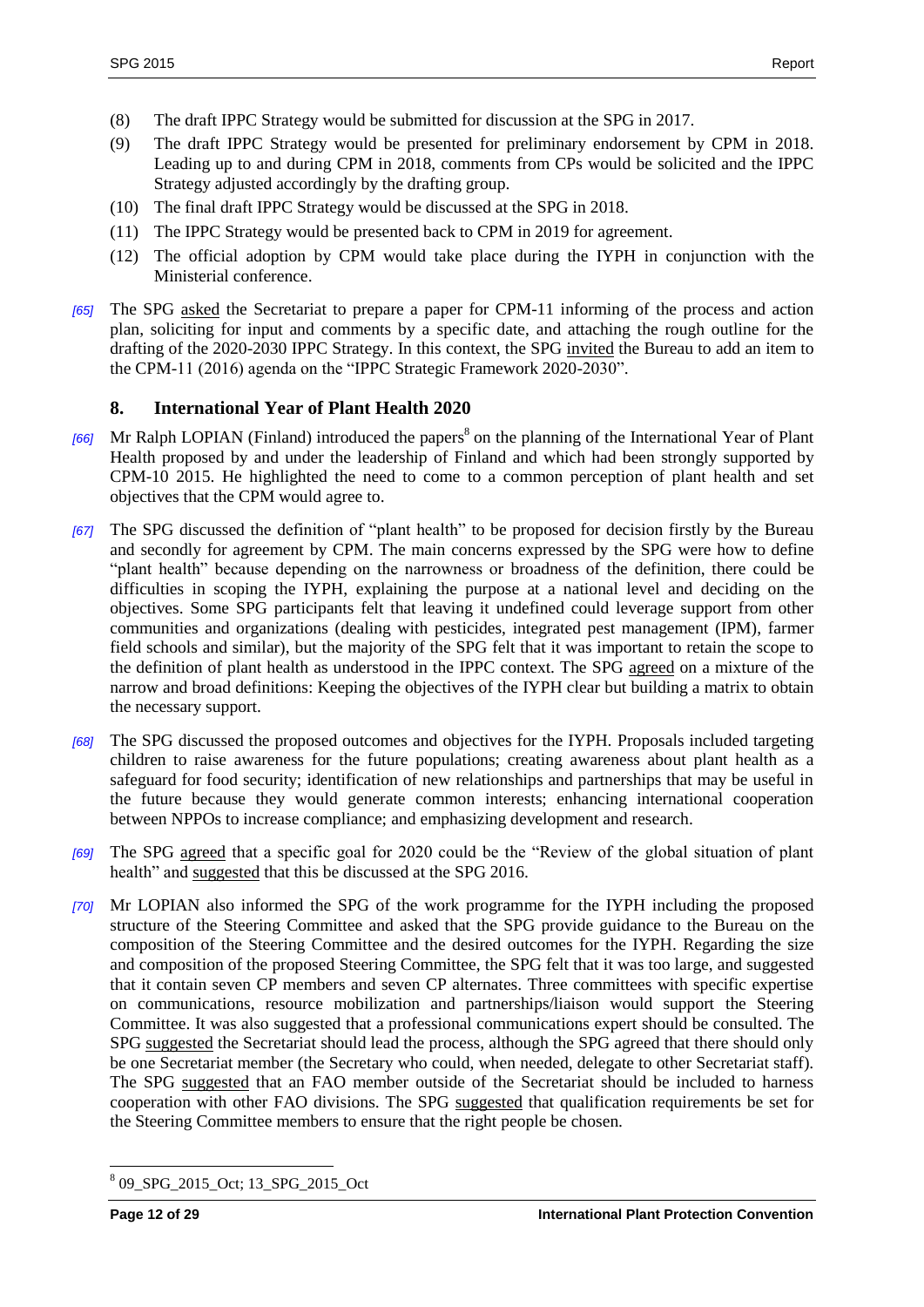- (8) The draft IPPC Strategy would be submitted for discussion at the SPG in 2017.
- (9) The draft IPPC Strategy would be presented for preliminary endorsement by CPM in 2018. Leading up to and during CPM in 2018, comments from CPs would be solicited and the IPPC Strategy adjusted accordingly by the drafting group.
- (10) The final draft IPPC Strategy would be discussed at the SPG in 2018.
- (11) The IPPC Strategy would be presented back to CPM in 2019 for agreement.
- (12) The official adoption by CPM would take place during the IYPH in conjunction with the Ministerial conference.
- *[65]* The SPG asked the Secretariat to prepare a paper for CPM-11 informing of the process and action plan, soliciting for input and comments by a specific date, and attaching the rough outline for the drafting of the 2020-2030 IPPC Strategy. In this context, the SPG invited the Bureau to add an item to the CPM-11 (2016) agenda on the "IPPC Strategic Framework 2020-2030".

#### <span id="page-11-0"></span>**8. International Year of Plant Health 2020**

- *[66]* Mr Ralph LOPIAN (Finland) introduced the papers 8 on the planning of the International Year of Plant Health proposed by and under the leadership of Finland and which had been strongly supported by CPM-10 2015. He highlighted the need to come to a common perception of plant health and set objectives that the CPM would agree to.
- *[67]* The SPG discussed the definition of "plant health" to be proposed for decision firstly by the Bureau and secondly for agreement by CPM. The main concerns expressed by the SPG were how to define "plant health" because depending on the narrowness or broadness of the definition, there could be difficulties in scoping the IYPH, explaining the purpose at a national level and deciding on the objectives. Some SPG participants felt that leaving it undefined could leverage support from other communities and organizations (dealing with pesticides, integrated pest management (IPM), farmer field schools and similar), but the majority of the SPG felt that it was important to retain the scope to the definition of plant health as understood in the IPPC context. The SPG agreed on a mixture of the narrow and broad definitions: Keeping the objectives of the IYPH clear but building a matrix to obtain the necessary support.
- *[68]* The SPG discussed the proposed outcomes and objectives for the IYPH. Proposals included targeting children to raise awareness for the future populations; creating awareness about plant health as a safeguard for food security; identification of new relationships and partnerships that may be useful in the future because they would generate common interests; enhancing international cooperation between NPPOs to increase compliance; and emphasizing development and research.
- *[69]* The SPG agreed that a specific goal for 2020 could be the "Review of the global situation of plant health" and suggested that this be discussed at the SPG 2016.
- *[70]* Mr LOPIAN also informed the SPG of the work programme for the IYPH including the proposed structure of the Steering Committee and asked that the SPG provide guidance to the Bureau on the composition of the Steering Committee and the desired outcomes for the IYPH. Regarding the size and composition of the proposed Steering Committee, the SPG felt that it was too large, and suggested that it contain seven CP members and seven CP alternates. Three committees with specific expertise on communications, resource mobilization and partnerships/liaison would support the Steering Committee. It was also suggested that a professional communications expert should be consulted. The SPG suggested the Secretariat should lead the process, although the SPG agreed that there should only be one Secretariat member (the Secretary who could, when needed, delegate to other Secretariat staff). The SPG suggested that an FAO member outside of the Secretariat should be included to harness cooperation with other FAO divisions. The SPG suggested that qualification requirements be set for the Steering Committee members to ensure that the right people be chosen.

 $\overline{a}$ 8 09\_SPG\_2015\_Oct; 13\_SPG\_2015\_Oct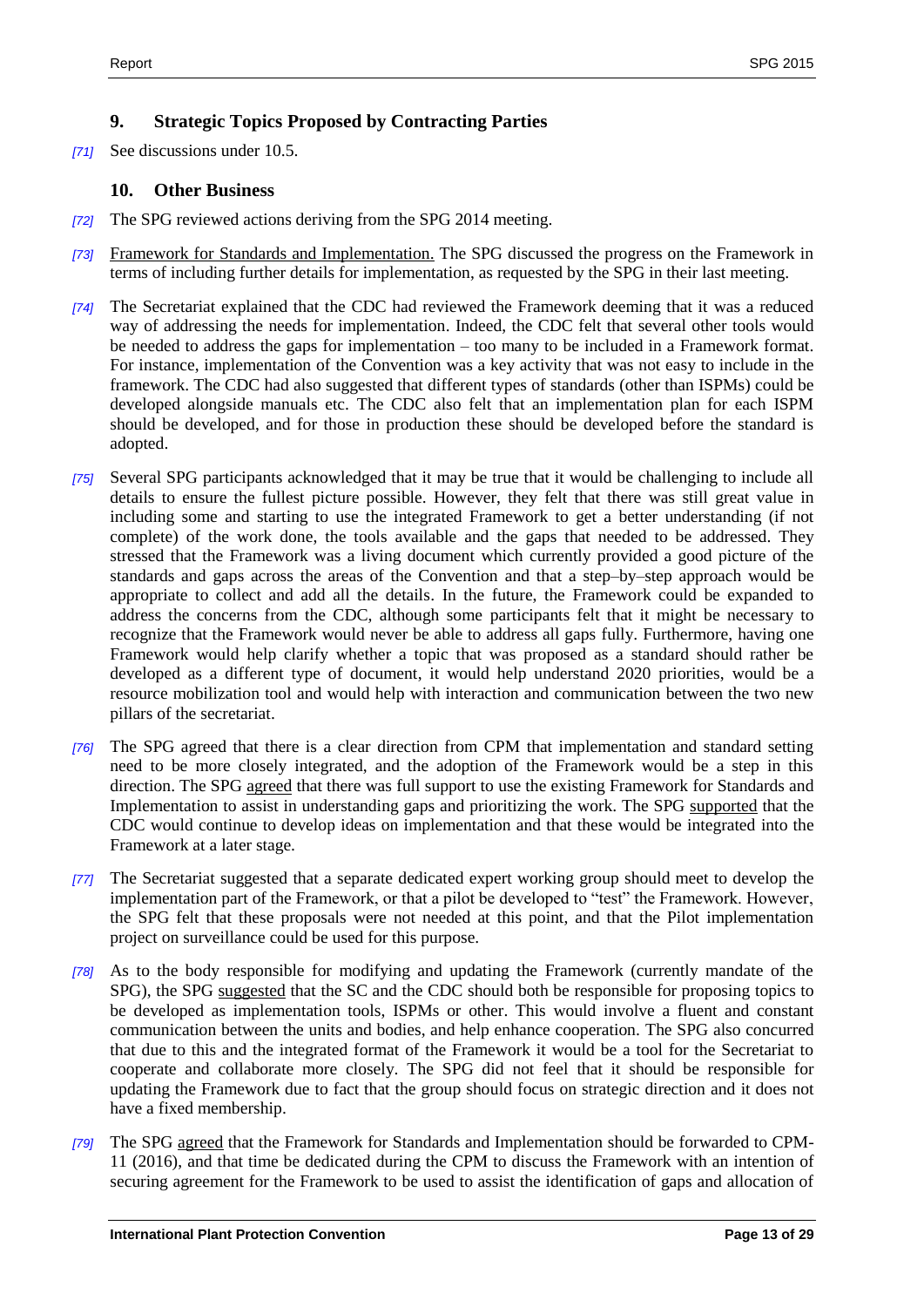## <span id="page-12-0"></span>**9. Strategic Topics Proposed by Contracting Parties**

*[71]* See discussions under 10.5.

#### <span id="page-12-1"></span>**10. Other Business**

- *[72]* The SPG reviewed actions deriving from the SPG 2014 meeting.
- *[73]* Framework for Standards and Implementation. The SPG discussed the progress on the Framework in terms of including further details for implementation, as requested by the SPG in their last meeting.
- *[74]* The Secretariat explained that the CDC had reviewed the Framework deeming that it was a reduced way of addressing the needs for implementation. Indeed, the CDC felt that several other tools would be needed to address the gaps for implementation – too many to be included in a Framework format. For instance, implementation of the Convention was a key activity that was not easy to include in the framework. The CDC had also suggested that different types of standards (other than ISPMs) could be developed alongside manuals etc. The CDC also felt that an implementation plan for each ISPM should be developed, and for those in production these should be developed before the standard is adopted.
- *[75]* Several SPG participants acknowledged that it may be true that it would be challenging to include all details to ensure the fullest picture possible. However, they felt that there was still great value in including some and starting to use the integrated Framework to get a better understanding (if not complete) of the work done, the tools available and the gaps that needed to be addressed. They stressed that the Framework was a living document which currently provided a good picture of the standards and gaps across the areas of the Convention and that a step–by–step approach would be appropriate to collect and add all the details. In the future, the Framework could be expanded to address the concerns from the CDC, although some participants felt that it might be necessary to recognize that the Framework would never be able to address all gaps fully. Furthermore, having one Framework would help clarify whether a topic that was proposed as a standard should rather be developed as a different type of document, it would help understand 2020 priorities, would be a resource mobilization tool and would help with interaction and communication between the two new pillars of the secretariat.
- *[76]* The SPG agreed that there is a clear direction from CPM that implementation and standard setting need to be more closely integrated, and the adoption of the Framework would be a step in this direction. The SPG agreed that there was full support to use the existing Framework for Standards and Implementation to assist in understanding gaps and prioritizing the work. The SPG supported that the CDC would continue to develop ideas on implementation and that these would be integrated into the Framework at a later stage.
- *[77]* The Secretariat suggested that a separate dedicated expert working group should meet to develop the implementation part of the Framework, or that a pilot be developed to "test" the Framework. However, the SPG felt that these proposals were not needed at this point, and that the Pilot implementation project on surveillance could be used for this purpose.
- *[78]* As to the body responsible for modifying and updating the Framework (currently mandate of the SPG), the SPG suggested that the SC and the CDC should both be responsible for proposing topics to be developed as implementation tools, ISPMs or other. This would involve a fluent and constant communication between the units and bodies, and help enhance cooperation. The SPG also concurred that due to this and the integrated format of the Framework it would be a tool for the Secretariat to cooperate and collaborate more closely. The SPG did not feel that it should be responsible for updating the Framework due to fact that the group should focus on strategic direction and it does not have a fixed membership.
- *[79]* The SPG agreed that the Framework for Standards and Implementation should be forwarded to CPM-11 (2016), and that time be dedicated during the CPM to discuss the Framework with an intention of securing agreement for the Framework to be used to assist the identification of gaps and allocation of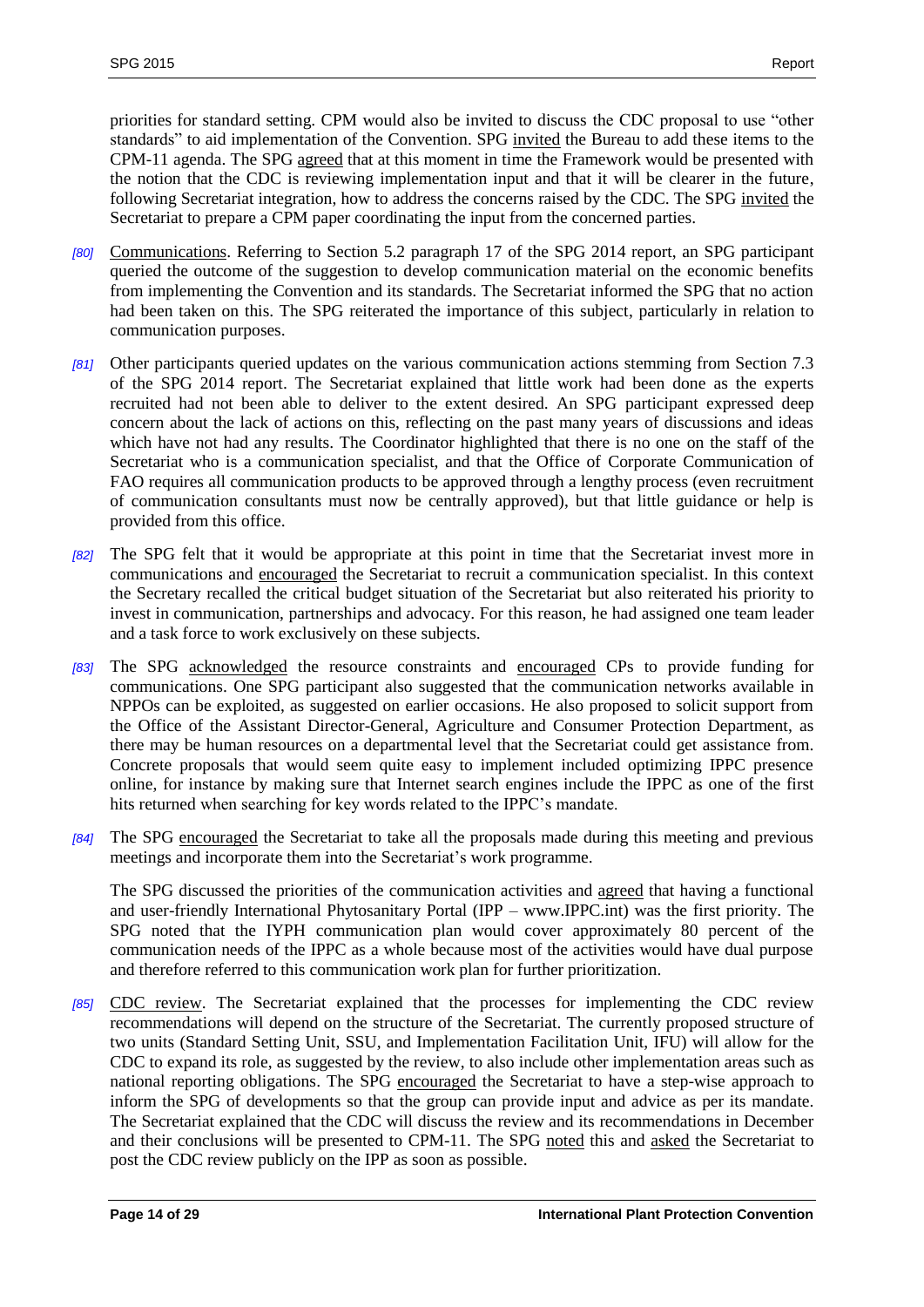priorities for standard setting. CPM would also be invited to discuss the CDC proposal to use "other standards" to aid implementation of the Convention. SPG invited the Bureau to add these items to the CPM-11 agenda. The SPG agreed that at this moment in time the Framework would be presented with the notion that the CDC is reviewing implementation input and that it will be clearer in the future, following Secretariat integration, how to address the concerns raised by the CDC. The SPG invited the Secretariat to prepare a CPM paper coordinating the input from the concerned parties.

- *[80]* Communications. Referring to Section 5.2 paragraph 17 of the SPG 2014 report, an SPG participant queried the outcome of the suggestion to develop communication material on the economic benefits from implementing the Convention and its standards. The Secretariat informed the SPG that no action had been taken on this. The SPG reiterated the importance of this subject, particularly in relation to communication purposes.
- *[81]* Other participants queried updates on the various communication actions stemming from Section 7.3 of the SPG 2014 report. The Secretariat explained that little work had been done as the experts recruited had not been able to deliver to the extent desired. An SPG participant expressed deep concern about the lack of actions on this, reflecting on the past many years of discussions and ideas which have not had any results. The Coordinator highlighted that there is no one on the staff of the Secretariat who is a communication specialist, and that the Office of Corporate Communication of FAO requires all communication products to be approved through a lengthy process (even recruitment of communication consultants must now be centrally approved), but that little guidance or help is provided from this office.
- *[82]* The SPG felt that it would be appropriate at this point in time that the Secretariat invest more in communications and encouraged the Secretariat to recruit a communication specialist. In this context the Secretary recalled the critical budget situation of the Secretariat but also reiterated his priority to invest in communication, partnerships and advocacy. For this reason, he had assigned one team leader and a task force to work exclusively on these subjects.
- *[83]* The SPG acknowledged the resource constraints and encouraged CPs to provide funding for communications. One SPG participant also suggested that the communication networks available in NPPOs can be exploited, as suggested on earlier occasions. He also proposed to solicit support from the Office of the Assistant Director-General, Agriculture and Consumer Protection Department, as there may be human resources on a departmental level that the Secretariat could get assistance from. Concrete proposals that would seem quite easy to implement included optimizing IPPC presence online, for instance by making sure that Internet search engines include the IPPC as one of the first hits returned when searching for key words related to the IPPC's mandate.
- *[84]* The SPG encouraged the Secretariat to take all the proposals made during this meeting and previous meetings and incorporate them into the Secretariat's work programme.

The SPG discussed the priorities of the communication activities and agreed that having a functional and user-friendly International Phytosanitary Portal (IPP – www.IPPC.int) was the first priority. The SPG noted that the IYPH communication plan would cover approximately 80 percent of the communication needs of the IPPC as a whole because most of the activities would have dual purpose and therefore referred to this communication work plan for further prioritization.

*[85]* CDC review. The Secretariat explained that the processes for implementing the CDC review recommendations will depend on the structure of the Secretariat. The currently proposed structure of two units (Standard Setting Unit, SSU, and Implementation Facilitation Unit, IFU) will allow for the CDC to expand its role, as suggested by the review, to also include other implementation areas such as national reporting obligations. The SPG encouraged the Secretariat to have a step-wise approach to inform the SPG of developments so that the group can provide input and advice as per its mandate. The Secretariat explained that the CDC will discuss the review and its recommendations in December and their conclusions will be presented to CPM-11. The SPG noted this and asked the Secretariat to post the CDC review publicly on the IPP as soon as possible.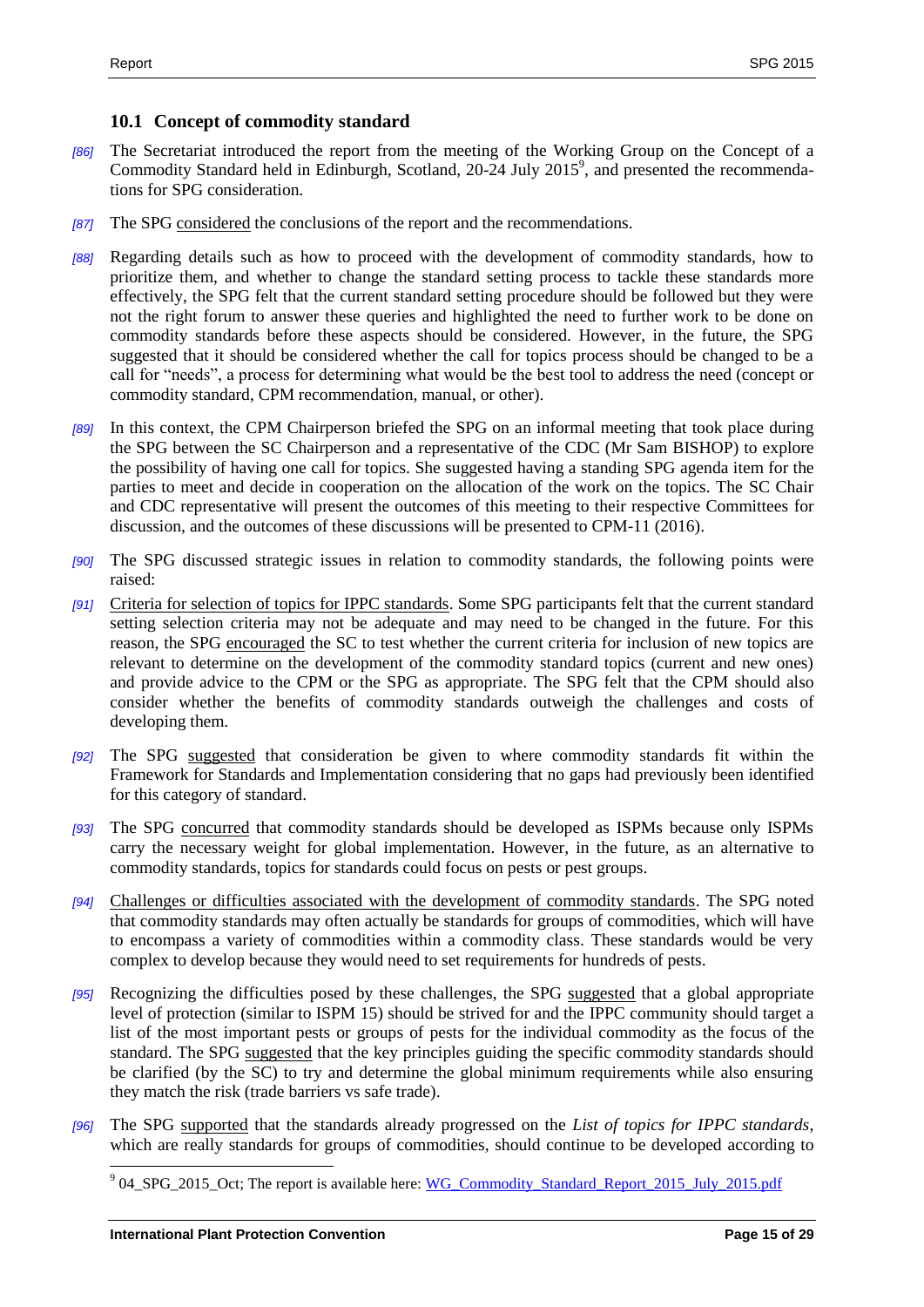#### <span id="page-14-0"></span>**10.1 Concept of commodity standard**

- *[86]* The Secretariat introduced the report from the meeting of the Working Group on the Concept of a Commodity Standard held in Edinburgh, Scotland, 20-24 July 2015<sup>9</sup>, and presented the recommendations for SPG consideration.
- *[87]* The SPG considered the conclusions of the report and the recommendations.
- *[88]* Regarding details such as how to proceed with the development of commodity standards, how to prioritize them, and whether to change the standard setting process to tackle these standards more effectively, the SPG felt that the current standard setting procedure should be followed but they were not the right forum to answer these queries and highlighted the need to further work to be done on commodity standards before these aspects should be considered. However, in the future, the SPG suggested that it should be considered whether the call for topics process should be changed to be a call for "needs", a process for determining what would be the best tool to address the need (concept or commodity standard, CPM recommendation, manual, or other).
- *[89]* In this context, the CPM Chairperson briefed the SPG on an informal meeting that took place during the SPG between the SC Chairperson and a representative of the CDC (Mr Sam BISHOP) to explore the possibility of having one call for topics. She suggested having a standing SPG agenda item for the parties to meet and decide in cooperation on the allocation of the work on the topics. The SC Chair and CDC representative will present the outcomes of this meeting to their respective Committees for discussion, and the outcomes of these discussions will be presented to CPM-11 (2016).
- *[90]* The SPG discussed strategic issues in relation to commodity standards, the following points were raised:
- *[91]* Criteria for selection of topics for IPPC standards. Some SPG participants felt that the current standard setting selection criteria may not be adequate and may need to be changed in the future. For this reason, the SPG encouraged the SC to test whether the current criteria for inclusion of new topics are relevant to determine on the development of the commodity standard topics (current and new ones) and provide advice to the CPM or the SPG as appropriate. The SPG felt that the CPM should also consider whether the benefits of commodity standards outweigh the challenges and costs of developing them.
- *[92]* The SPG suggested that consideration be given to where commodity standards fit within the Framework for Standards and Implementation considering that no gaps had previously been identified for this category of standard.
- *[93]* The SPG concurred that commodity standards should be developed as ISPMs because only ISPMs carry the necessary weight for global implementation. However, in the future, as an alternative to commodity standards, topics for standards could focus on pests or pest groups.
- *[94]* Challenges or difficulties associated with the development of commodity standards. The SPG noted that commodity standards may often actually be standards for groups of commodities, which will have to encompass a variety of commodities within a commodity class. These standards would be very complex to develop because they would need to set requirements for hundreds of pests.
- [95] Recognizing the difficulties posed by these challenges, the SPG suggested that a global appropriate level of protection (similar to ISPM 15) should be strived for and the IPPC community should target a list of the most important pests or groups of pests for the individual commodity as the focus of the standard. The SPG suggested that the key principles guiding the specific commodity standards should be clarified (by the SC) to try and determine the global minimum requirements while also ensuring they match the risk (trade barriers vs safe trade).
- *[96]* The SPG supported that the standards already progressed on the *List of topics for IPPC standards*, which are really standards for groups of commodities, should continue to be developed according to

<sup>&</sup>lt;sup>9</sup> 04\_SPG\_2015\_Oct; The report is available here: [WG\\_Commodity\\_Standard\\_Report\\_2015\\_July\\_2015.pdf](https://www.ippc.int/static/media/files/publication/en/2015/09/REPORT_WGCommodityStandard_2015_July_2015-09-24.pdf)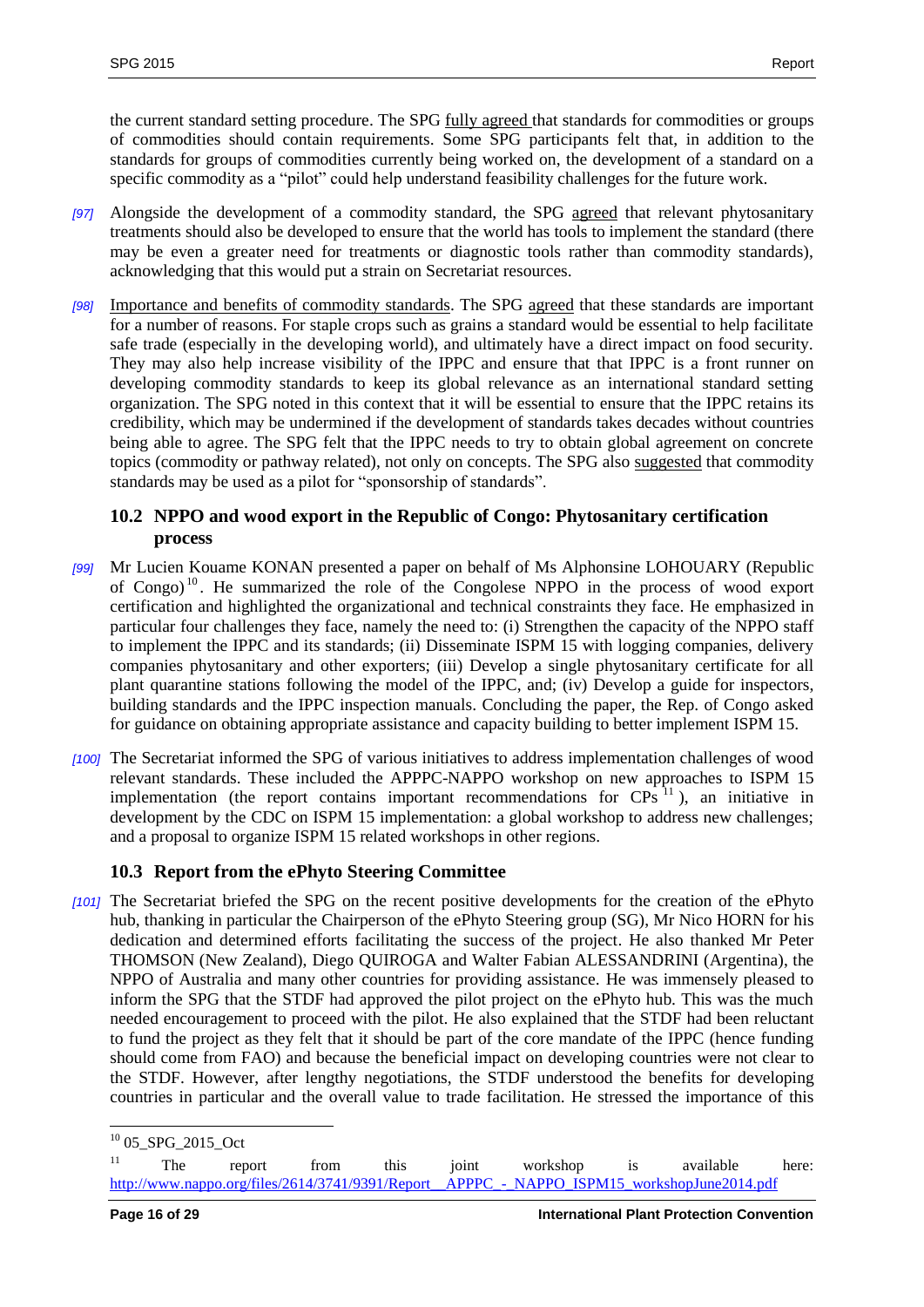the current standard setting procedure. The SPG fully agreed that standards for commodities or groups of commodities should contain requirements. Some SPG participants felt that, in addition to the standards for groups of commodities currently being worked on, the development of a standard on a specific commodity as a "pilot" could help understand feasibility challenges for the future work.

- *[97]* Alongside the development of a commodity standard, the SPG agreed that relevant phytosanitary treatments should also be developed to ensure that the world has tools to implement the standard (there may be even a greater need for treatments or diagnostic tools rather than commodity standards), acknowledging that this would put a strain on Secretariat resources.
- *[98]* Importance and benefits of commodity standards. The SPG agreed that these standards are important for a number of reasons. For staple crops such as grains a standard would be essential to help facilitate safe trade (especially in the developing world), and ultimately have a direct impact on food security. They may also help increase visibility of the IPPC and ensure that that IPPC is a front runner on developing commodity standards to keep its global relevance as an international standard setting organization. The SPG noted in this context that it will be essential to ensure that the IPPC retains its credibility, which may be undermined if the development of standards takes decades without countries being able to agree. The SPG felt that the IPPC needs to try to obtain global agreement on concrete topics (commodity or pathway related), not only on concepts. The SPG also suggested that commodity standards may be used as a pilot for "sponsorship of standards".

#### <span id="page-15-0"></span>**10.2 NPPO and wood export in the Republic of Congo: Phytosanitary certification process**

- *[99]* Mr Lucien Kouame KONAN presented a paper on behalf of Ms Alphonsine LOHOUARY (Republic of Congo)<sup>10</sup>. He summarized the role of the Congolese NPPO in the process of wood export certification and highlighted the organizational and technical constraints they face. He emphasized in particular four challenges they face, namely the need to: (i) Strengthen the capacity of the NPPO staff to implement the IPPC and its standards; (ii) Disseminate ISPM 15 with logging companies, delivery companies phytosanitary and other exporters; (iii) Develop a single phytosanitary certificate for all plant quarantine stations following the model of the IPPC, and; (iv) Develop a guide for inspectors, building standards and the IPPC inspection manuals. Concluding the paper, the Rep. of Congo asked for guidance on obtaining appropriate assistance and capacity building to better implement ISPM 15.
- *[100]* The Secretariat informed the SPG of various initiatives to address implementation challenges of wood relevant standards. These included the APPPC-NAPPO workshop on new approaches to ISPM 15 implementation (the report contains important recommendations for  $CPs<sup>11</sup>$ ), an initiative in development by the CDC on ISPM 15 implementation: a global workshop to address new challenges; and a proposal to organize ISPM 15 related workshops in other regions.

# <span id="page-15-1"></span>**10.3 Report from the ePhyto Steering Committee**

*[101]* The Secretariat briefed the SPG on the recent positive developments for the creation of the ePhyto hub, thanking in particular the Chairperson of the ePhyto Steering group (SG), Mr Nico HORN for his dedication and determined efforts facilitating the success of the project. He also thanked Mr Peter THOMSON (New Zealand), Diego QUIROGA and Walter Fabian ALESSANDRINI (Argentina), the NPPO of Australia and many other countries for providing assistance. He was immensely pleased to inform the SPG that the STDF had approved the pilot project on the ePhyto hub. This was the much needed encouragement to proceed with the pilot. He also explained that the STDF had been reluctant to fund the project as they felt that it should be part of the core mandate of the IPPC (hence funding should come from FAO) and because the beneficial impact on developing countries were not clear to the STDF. However, after lengthy negotiations, the STDF understood the benefits for developing countries in particular and the overall value to trade facilitation. He stressed the importance of this

l  $^{10}$  05\_SPG\_2015\_Oct

<sup>&</sup>lt;sup>11</sup> The report from this joint workshop is available here: [http://www.nappo.org/files/2614/3741/9391/Report\\_\\_APPPC\\_-\\_NAPPO\\_ISPM15\\_workshopJune2014.pdf](http://www.nappo.org/files/2614/3741/9391/Report__APPPC_-_NAPPO_ISPM15_workshopJune2014.pdf)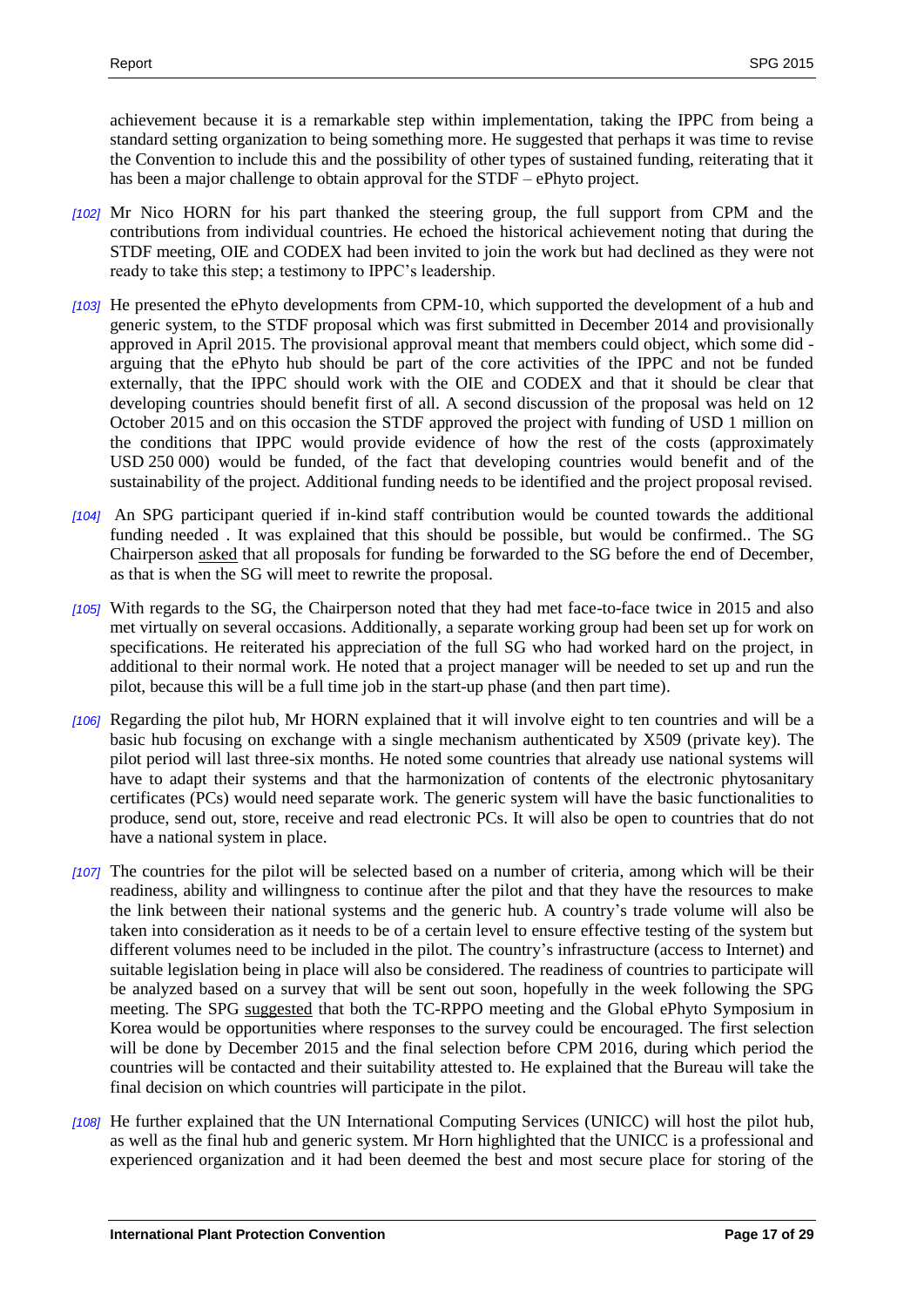achievement because it is a remarkable step within implementation, taking the IPPC from being a standard setting organization to being something more. He suggested that perhaps it was time to revise the Convention to include this and the possibility of other types of sustained funding, reiterating that it has been a major challenge to obtain approval for the STDF – ePhyto project.

- *[102]* Mr Nico HORN for his part thanked the steering group, the full support from CPM and the contributions from individual countries. He echoed the historical achievement noting that during the STDF meeting, OIE and CODEX had been invited to join the work but had declined as they were not ready to take this step; a testimony to IPPC's leadership.
- *[103]* He presented the ePhyto developments from CPM-10, which supported the development of a hub and generic system, to the STDF proposal which was first submitted in December 2014 and provisionally approved in April 2015. The provisional approval meant that members could object, which some did arguing that the ePhyto hub should be part of the core activities of the IPPC and not be funded externally, that the IPPC should work with the OIE and CODEX and that it should be clear that developing countries should benefit first of all. A second discussion of the proposal was held on 12 October 2015 and on this occasion the STDF approved the project with funding of USD 1 million on the conditions that IPPC would provide evidence of how the rest of the costs (approximately USD 250 000) would be funded, of the fact that developing countries would benefit and of the sustainability of the project. Additional funding needs to be identified and the project proposal revised.
- *[104]* An SPG participant queried if in-kind staff contribution would be counted towards the additional funding needed . It was explained that this should be possible, but would be confirmed.. The SG Chairperson asked that all proposals for funding be forwarded to the SG before the end of December, as that is when the SG will meet to rewrite the proposal.
- *[105]* With regards to the SG, the Chairperson noted that they had met face-to-face twice in 2015 and also met virtually on several occasions. Additionally, a separate working group had been set up for work on specifications. He reiterated his appreciation of the full SG who had worked hard on the project, in additional to their normal work. He noted that a project manager will be needed to set up and run the pilot, because this will be a full time job in the start-up phase (and then part time).
- *[106]* Regarding the pilot hub, Mr HORN explained that it will involve eight to ten countries and will be a basic hub focusing on exchange with a single mechanism authenticated by X509 (private key). The pilot period will last three-six months. He noted some countries that already use national systems will have to adapt their systems and that the harmonization of contents of the electronic phytosanitary certificates (PCs) would need separate work. The generic system will have the basic functionalities to produce, send out, store, receive and read electronic PCs. It will also be open to countries that do not have a national system in place.
- *[107]* The countries for the pilot will be selected based on a number of criteria, among which will be their readiness, ability and willingness to continue after the pilot and that they have the resources to make the link between their national systems and the generic hub. A country's trade volume will also be taken into consideration as it needs to be of a certain level to ensure effective testing of the system but different volumes need to be included in the pilot. The country's infrastructure (access to Internet) and suitable legislation being in place will also be considered. The readiness of countries to participate will be analyzed based on a survey that will be sent out soon, hopefully in the week following the SPG meeting. The SPG suggested that both the TC-RPPO meeting and the Global ePhyto Symposium in Korea would be opportunities where responses to the survey could be encouraged. The first selection will be done by December 2015 and the final selection before CPM 2016, during which period the countries will be contacted and their suitability attested to. He explained that the Bureau will take the final decision on which countries will participate in the pilot.
- *[108]* He further explained that the UN International Computing Services (UNICC) will host the pilot hub, as well as the final hub and generic system. Mr Horn highlighted that the UNICC is a professional and experienced organization and it had been deemed the best and most secure place for storing of the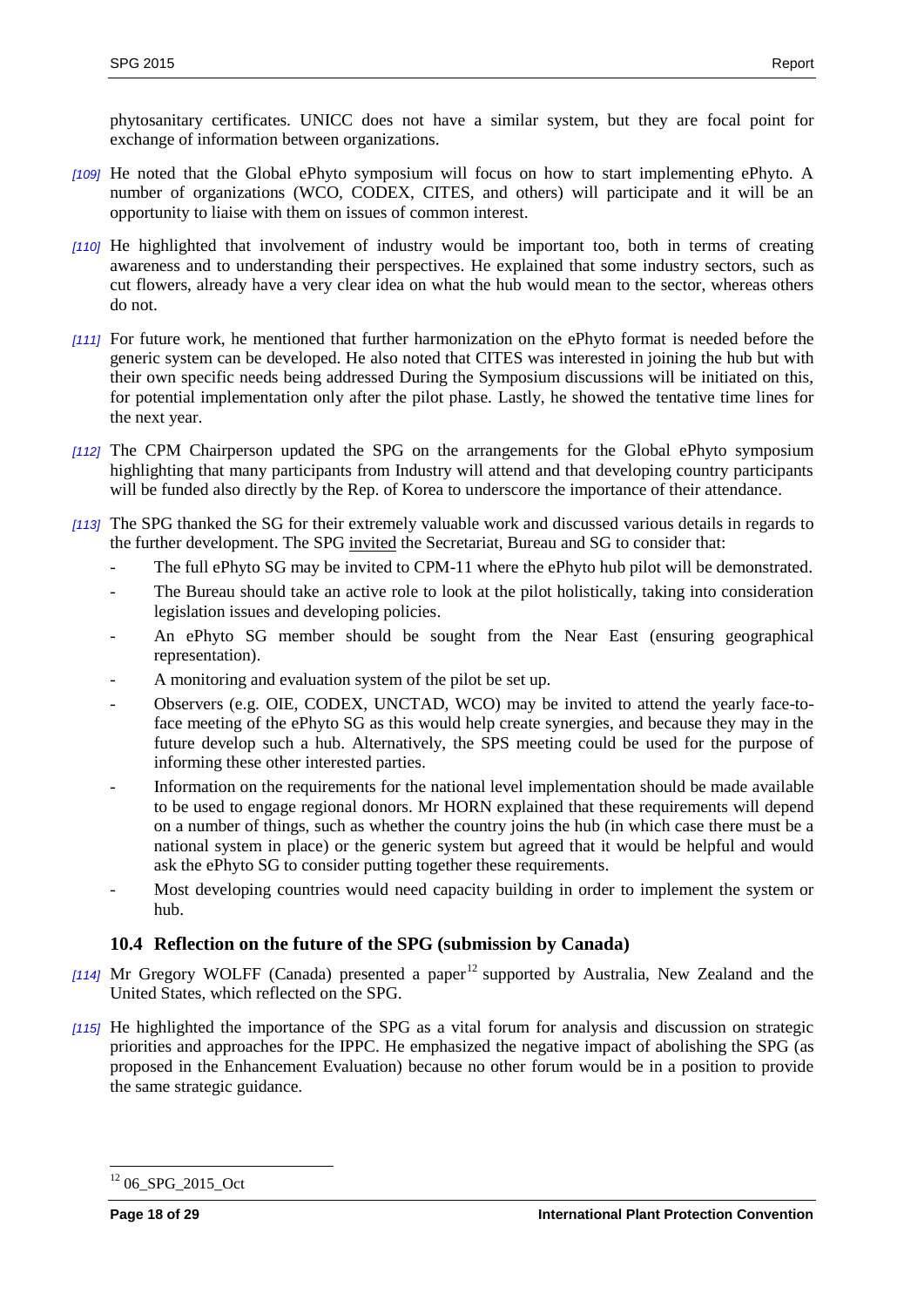phytosanitary certificates. UNICC does not have a similar system, but they are focal point for exchange of information between organizations.

- *[109]* He noted that the Global ePhyto symposium will focus on how to start implementing ePhyto. A number of organizations (WCO, CODEX, CITES, and others) will participate and it will be an opportunity to liaise with them on issues of common interest.
- *[110]* He highlighted that involvement of industry would be important too, both in terms of creating awareness and to understanding their perspectives. He explained that some industry sectors, such as cut flowers, already have a very clear idea on what the hub would mean to the sector, whereas others do not.
- *[111]* For future work, he mentioned that further harmonization on the ePhyto format is needed before the generic system can be developed. He also noted that CITES was interested in joining the hub but with their own specific needs being addressed During the Symposium discussions will be initiated on this, for potential implementation only after the pilot phase. Lastly, he showed the tentative time lines for the next year.
- *[112]* The CPM Chairperson updated the SPG on the arrangements for the Global ePhyto symposium highlighting that many participants from Industry will attend and that developing country participants will be funded also directly by the Rep. of Korea to underscore the importance of their attendance.
- *[113]* The SPG thanked the SG for their extremely valuable work and discussed various details in regards to the further development. The SPG invited the Secretariat, Bureau and SG to consider that:
	- The full ePhyto SG may be invited to CPM-11 where the ePhyto hub pilot will be demonstrated.
	- The Bureau should take an active role to look at the pilot holistically, taking into consideration legislation issues and developing policies.
	- An ePhyto SG member should be sought from the Near East (ensuring geographical representation).
	- A monitoring and evaluation system of the pilot be set up.
	- Observers (e.g. OIE, CODEX, UNCTAD, WCO) may be invited to attend the yearly face-toface meeting of the ePhyto SG as this would help create synergies, and because they may in the future develop such a hub. Alternatively, the SPS meeting could be used for the purpose of informing these other interested parties.
	- Information on the requirements for the national level implementation should be made available to be used to engage regional donors. Mr HORN explained that these requirements will depend on a number of things, such as whether the country joins the hub (in which case there must be a national system in place) or the generic system but agreed that it would be helpful and would ask the ePhyto SG to consider putting together these requirements.
	- Most developing countries would need capacity building in order to implement the system or hub.

## <span id="page-17-0"></span>**10.4 Reflection on the future of the SPG (submission by Canada)**

- [114] Mr Gregory WOLFF (Canada) presented a paper<sup>12</sup> supported by Australia, New Zealand and the United States, which reflected on the SPG.
- *[115]* He highlighted the importance of the SPG as a vital forum for analysis and discussion on strategic priorities and approaches for the IPPC. He emphasized the negative impact of abolishing the SPG (as proposed in the Enhancement Evaluation) because no other forum would be in a position to provide the same strategic guidance.

 $\overline{a}$  $1206$ \_SPG\_2015\_Oct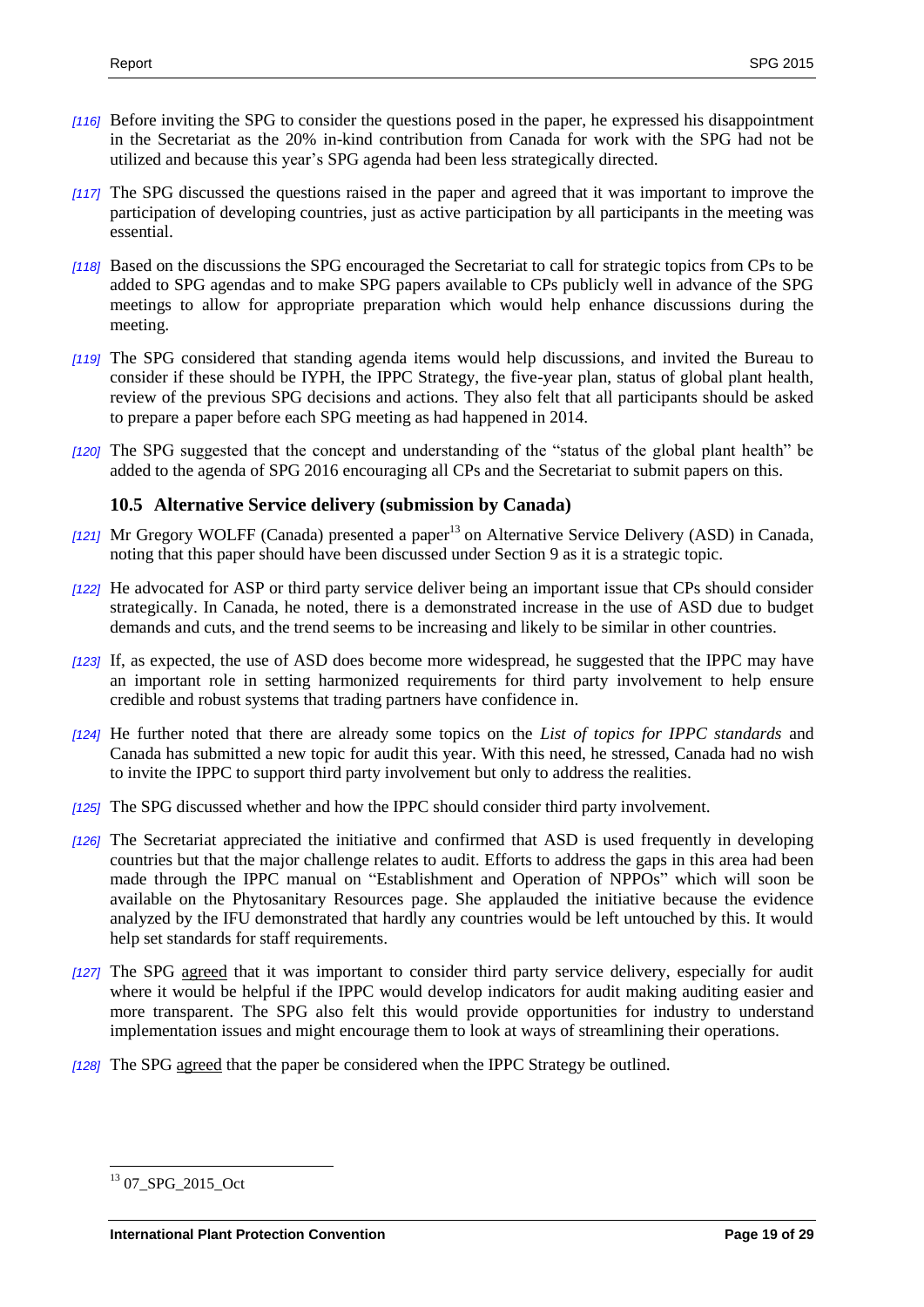- *[116]* Before inviting the SPG to consider the questions posed in the paper, he expressed his disappointment in the Secretariat as the 20% in-kind contribution from Canada for work with the SPG had not be utilized and because this year's SPG agenda had been less strategically directed.
- *[117]* The SPG discussed the questions raised in the paper and agreed that it was important to improve the participation of developing countries, just as active participation by all participants in the meeting was essential.
- *[118]* Based on the discussions the SPG encouraged the Secretariat to call for strategic topics from CPs to be added to SPG agendas and to make SPG papers available to CPs publicly well in advance of the SPG meetings to allow for appropriate preparation which would help enhance discussions during the meeting.
- *[119]* The SPG considered that standing agenda items would help discussions, and invited the Bureau to consider if these should be IYPH, the IPPC Strategy, the five-year plan, status of global plant health, review of the previous SPG decisions and actions. They also felt that all participants should be asked to prepare a paper before each SPG meeting as had happened in 2014.
- *[120]* The SPG suggested that the concept and understanding of the "status of the global plant health" be added to the agenda of SPG 2016 encouraging all CPs and the Secretariat to submit papers on this.

#### <span id="page-18-0"></span>**10.5 Alternative Service delivery (submission by Canada)**

- [121] Mr Gregory WOLFF (Canada) presented a paper<sup>13</sup> on Alternative Service Delivery (ASD) in Canada, noting that this paper should have been discussed under Section 9 as it is a strategic topic.
- *[122]* He advocated for ASP or third party service deliver being an important issue that CPs should consider strategically. In Canada, he noted, there is a demonstrated increase in the use of ASD due to budget demands and cuts, and the trend seems to be increasing and likely to be similar in other countries.
- *[123]* If, as expected, the use of ASD does become more widespread, he suggested that the IPPC may have an important role in setting harmonized requirements for third party involvement to help ensure credible and robust systems that trading partners have confidence in.
- *[124]* He further noted that there are already some topics on the *List of topics for IPPC standards* and Canada has submitted a new topic for audit this year. With this need, he stressed, Canada had no wish to invite the IPPC to support third party involvement but only to address the realities.
- *[125]* The SPG discussed whether and how the IPPC should consider third party involvement.
- *[126]* The Secretariat appreciated the initiative and confirmed that ASD is used frequently in developing countries but that the major challenge relates to audit. Efforts to address the gaps in this area had been made through the IPPC manual on "Establishment and Operation of NPPOs" which will soon be available on the Phytosanitary Resources page. She applauded the initiative because the evidence analyzed by the IFU demonstrated that hardly any countries would be left untouched by this. It would help set standards for staff requirements.
- *[127]* The SPG agreed that it was important to consider third party service delivery, especially for audit where it would be helpful if the IPPC would develop indicators for audit making auditing easier and more transparent. The SPG also felt this would provide opportunities for industry to understand implementation issues and might encourage them to look at ways of streamlining their operations.
- *[128]* The SPG agreed that the paper be considered when the IPPC Strategy be outlined.

 $\overline{a}$  $1307$ \_SPG\_2015\_Oct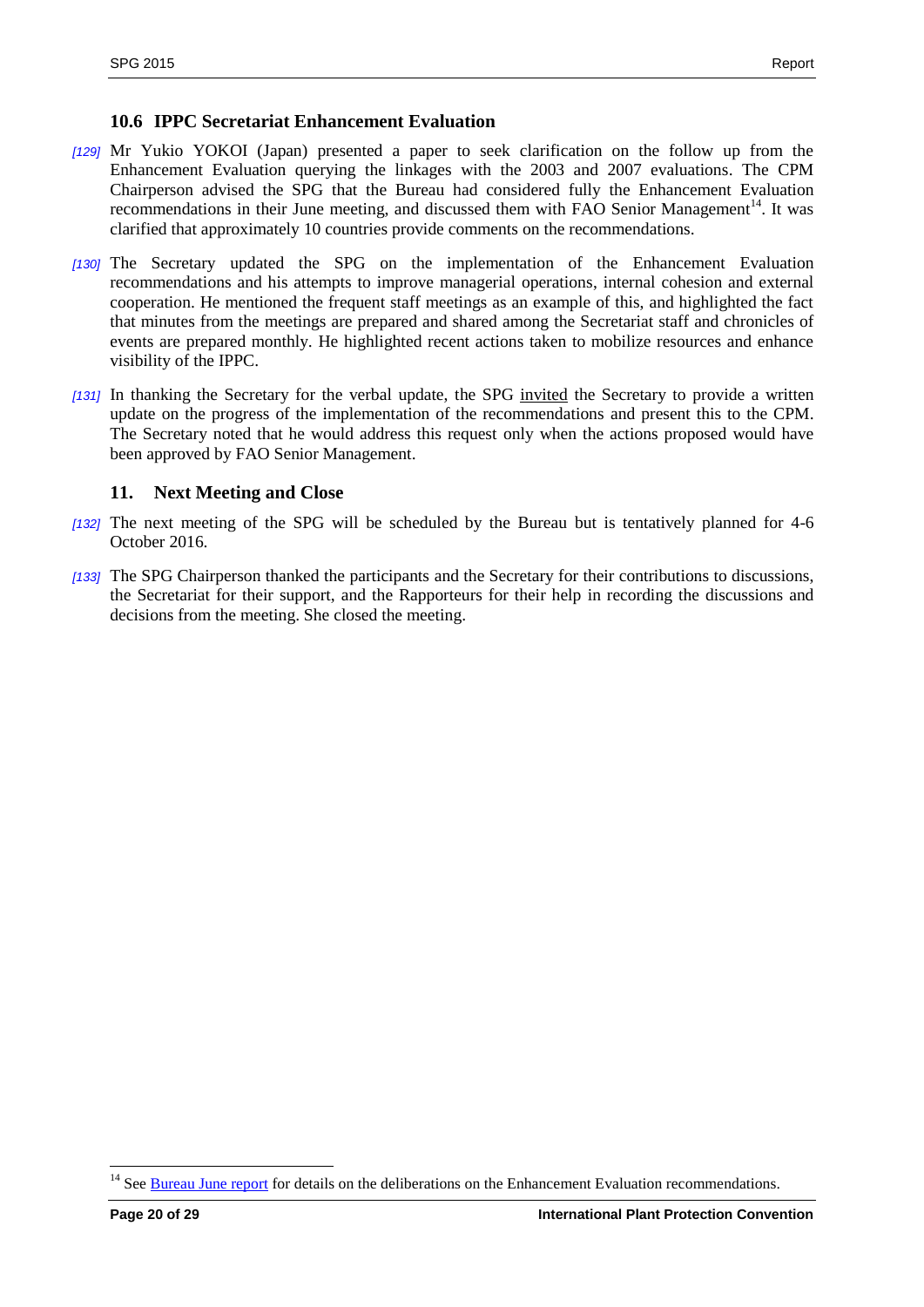#### <span id="page-19-0"></span>**10.6 IPPC Secretariat Enhancement Evaluation**

- *[129]* Mr Yukio YOKOI (Japan) presented a paper to seek clarification on the follow up from the Enhancement Evaluation querying the linkages with the 2003 and 2007 evaluations. The CPM Chairperson advised the SPG that the Bureau had considered fully the Enhancement Evaluation recommendations in their June meeting, and discussed them with FAO Senior Management<sup>14</sup>. It was clarified that approximately 10 countries provide comments on the recommendations.
- *[130]* The Secretary updated the SPG on the implementation of the Enhancement Evaluation recommendations and his attempts to improve managerial operations, internal cohesion and external cooperation. He mentioned the frequent staff meetings as an example of this, and highlighted the fact that minutes from the meetings are prepared and shared among the Secretariat staff and chronicles of events are prepared monthly. He highlighted recent actions taken to mobilize resources and enhance visibility of the IPPC.
- *[131]* In thanking the Secretary for the verbal update, the SPG invited the Secretary to provide a written update on the progress of the implementation of the recommendations and present this to the CPM. The Secretary noted that he would address this request only when the actions proposed would have been approved by FAO Senior Management.

#### <span id="page-19-1"></span>**11. Next Meeting and Close**

- *[132]* The next meeting of the SPG will be scheduled by the Bureau but is tentatively planned for 4-6 October 2016.
- *[133]* The SPG Chairperson thanked the participants and the Secretary for their contributions to discussions, the Secretariat for their support, and the Rapporteurs for their help in recording the discussions and decisions from the meeting. She closed the meeting.

<sup>&</sup>lt;sup>14</sup> See **Bureau June report** for details on the deliberations on the Enhancement Evaluation recommendations.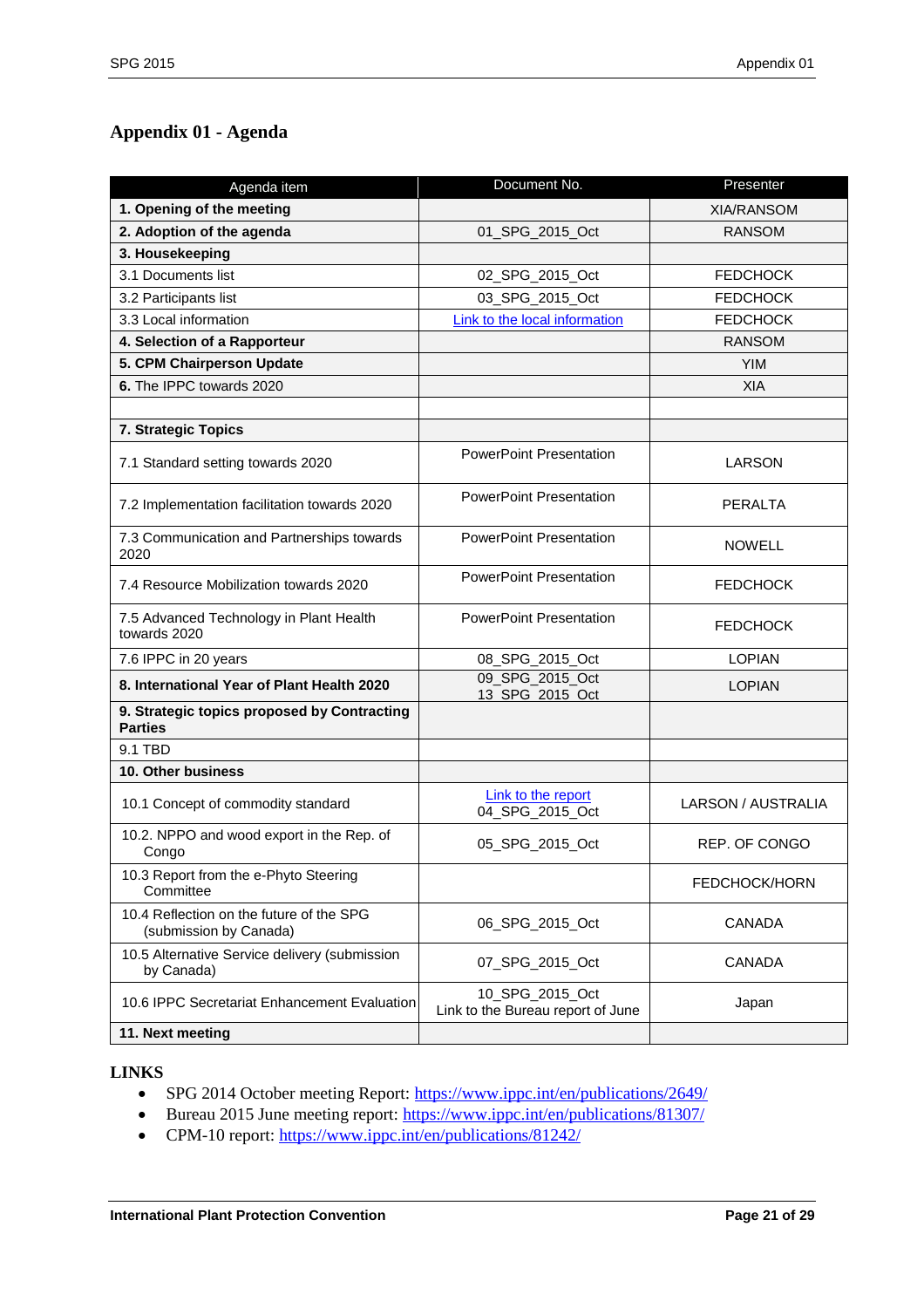# <span id="page-20-0"></span>**Appendix 01 - Agenda**

| Agenda item                                                        | Document No.                                         | Presenter            |
|--------------------------------------------------------------------|------------------------------------------------------|----------------------|
| 1. Opening of the meeting                                          |                                                      | <b>XIA/RANSOM</b>    |
| 2. Adoption of the agenda                                          | 01_SPG_2015_Oct                                      | <b>RANSOM</b>        |
| 3. Housekeeping                                                    |                                                      |                      |
| 3.1 Documents list                                                 | 02_SPG_2015_Oct                                      | <b>FEDCHOCK</b>      |
| 3.2 Participants list                                              | 03_SPG_2015_Oct                                      | <b>FEDCHOCK</b>      |
| 3.3 Local information                                              | Link to the local information                        | <b>FEDCHOCK</b>      |
| 4. Selection of a Rapporteur                                       |                                                      | <b>RANSOM</b>        |
| 5. CPM Chairperson Update                                          |                                                      | <b>YIM</b>           |
| 6. The IPPC towards 2020                                           |                                                      | <b>XIA</b>           |
|                                                                    |                                                      |                      |
| 7. Strategic Topics                                                |                                                      |                      |
| 7.1 Standard setting towards 2020                                  | <b>PowerPoint Presentation</b>                       | LARSON               |
| 7.2 Implementation facilitation towards 2020                       | <b>PowerPoint Presentation</b>                       | <b>PERALTA</b>       |
| 7.3 Communication and Partnerships towards<br>2020                 | <b>PowerPoint Presentation</b>                       | <b>NOWELL</b>        |
| 7.4 Resource Mobilization towards 2020                             | <b>PowerPoint Presentation</b>                       | <b>FEDCHOCK</b>      |
| 7.5 Advanced Technology in Plant Health<br>towards 2020            | <b>PowerPoint Presentation</b>                       | <b>FEDCHOCK</b>      |
| 7.6 IPPC in 20 years                                               | 08_SPG_2015_Oct                                      | <b>LOPIAN</b>        |
| 8. International Year of Plant Health 2020                         | 09 SPG 2015 Oct<br>13 SPG 2015 Oct                   | <b>LOPIAN</b>        |
| 9. Strategic topics proposed by Contracting<br><b>Parties</b>      |                                                      |                      |
| 9.1 TBD                                                            |                                                      |                      |
| 10. Other business                                                 |                                                      |                      |
| 10.1 Concept of commodity standard                                 | Link to the report<br>04_SPG_2015_Oct                | LARSON / AUSTRALIA   |
| 10.2. NPPO and wood export in the Rep. of<br>Congo                 | 05_SPG_2015_Oct                                      | <b>REP. OF CONGO</b> |
| 10.3 Report from the e-Phyto Steering<br>Committee                 |                                                      | FEDCHOCK/HORN        |
| 10.4 Reflection on the future of the SPG<br>(submission by Canada) | 06_SPG_2015_Oct                                      | <b>CANADA</b>        |
| 10.5 Alternative Service delivery (submission<br>by Canada)        | 07_SPG_2015_Oct                                      | <b>CANADA</b>        |
| 10.6 IPPC Secretariat Enhancement Evaluation                       | 10_SPG_2015_Oct<br>Link to the Bureau report of June | Japan                |
| 11. Next meeting                                                   |                                                      |                      |

#### **LINKS**

- SPG 2014 October meeting Report[: https://www.ippc.int/en/publications/2649/](https://www.ippc.int/en/publications/2649/)
- Bureau 2015 June meeting report:<https://www.ippc.int/en/publications/81307/>
- CPM-10 report: <https://www.ippc.int/en/publications/81242/>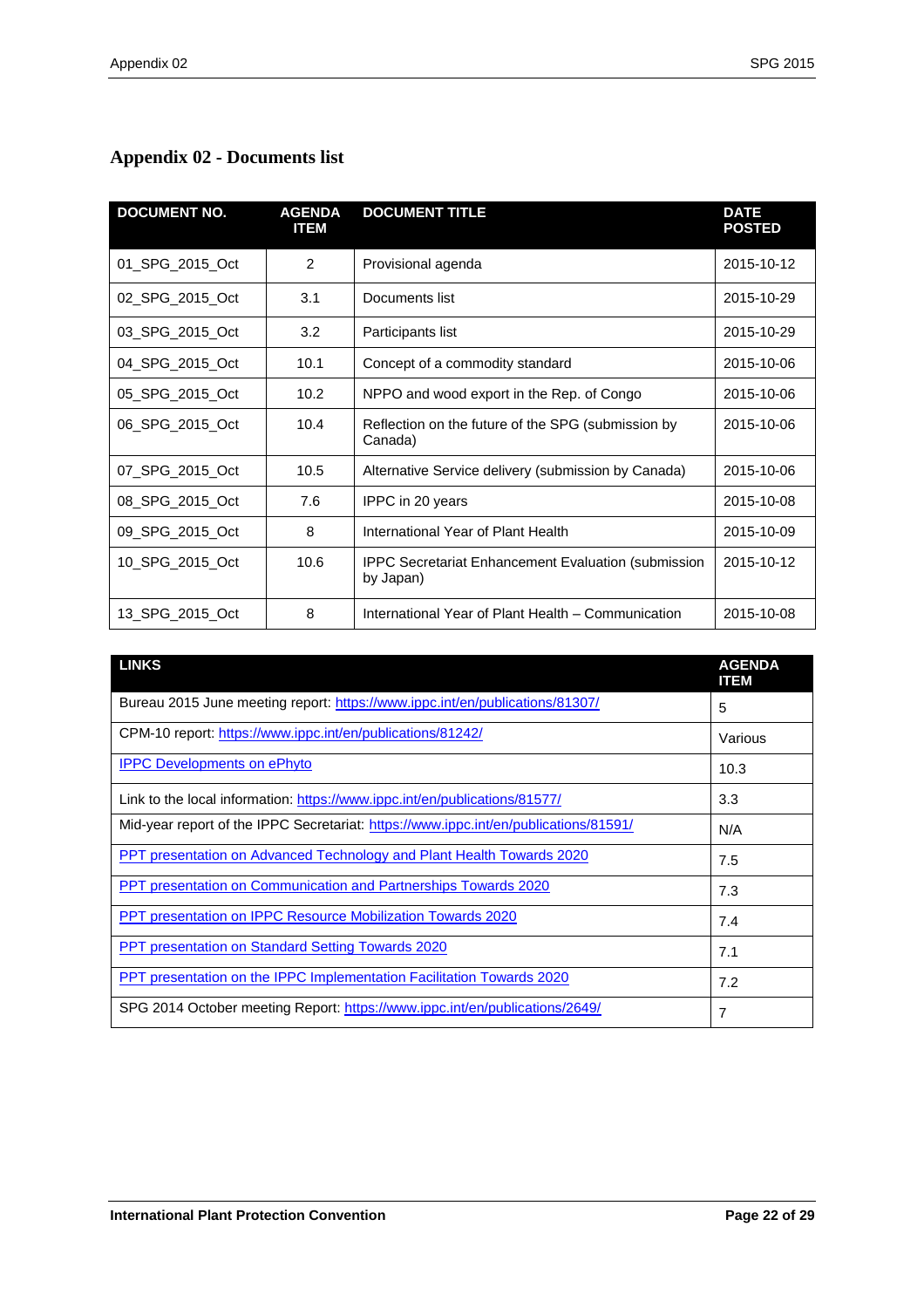# <span id="page-21-0"></span>**Appendix 02 - Documents list**

| <b>DOCUMENT NO.</b> | <b>AGENDA</b><br><b>ITEM</b> | <b>DOCUMENT TITLE</b>                                                   | <b>DATE</b><br><b>POSTED</b> |
|---------------------|------------------------------|-------------------------------------------------------------------------|------------------------------|
| 01 SPG 2015 Oct     | 2                            | Provisional agenda                                                      | 2015-10-12                   |
| 02 SPG 2015 Oct     | 3.1                          | Documents list                                                          | 2015-10-29                   |
| 03 SPG 2015 Oct     | 3.2                          | Participants list                                                       | 2015-10-29                   |
| 04 SPG 2015 Oct     | 10.1                         | Concept of a commodity standard                                         | 2015-10-06                   |
| 05 SPG 2015 Oct     | 10.2                         | NPPO and wood export in the Rep. of Congo                               | 2015-10-06                   |
| 06 SPG 2015 Oct     | 10.4                         | Reflection on the future of the SPG (submission by<br>Canada)           | 2015-10-06                   |
| 07_SPG_2015_Oct     | 10.5                         | Alternative Service delivery (submission by Canada)                     | 2015-10-06                   |
| 08 SPG 2015 Oct     | 7.6                          | IPPC in 20 years                                                        | 2015-10-08                   |
| 09 SPG 2015 Oct     | 8                            | International Year of Plant Health                                      | 2015-10-09                   |
| 10_SPG_2015_Oct     | 10.6                         | <b>IPPC Secretariat Enhancement Evaluation (submission</b><br>by Japan) | 2015-10-12                   |
| 13 SPG 2015 Oct     | 8                            | International Year of Plant Health - Communication                      | 2015-10-08                   |

| <b>LINKS</b>                                                                         | <b>AGENDA</b><br><b>ITEM</b> |
|--------------------------------------------------------------------------------------|------------------------------|
| Bureau 2015 June meeting report: https://www.ippc.int/en/publications/81307/         | 5                            |
| CPM-10 report: https://www.ippc.int/en/publications/81242/                           | Various                      |
| <b>IPPC Developments on ePhyto</b>                                                   | 10.3                         |
| Link to the local information: https://www.ippc.int/en/publications/81577/           | 3.3                          |
| Mid-year report of the IPPC Secretariat: https://www.ippc.int/en/publications/81591/ | N/A                          |
| PPT presentation on Advanced Technology and Plant Health Towards 2020                | 7.5                          |
| <b>PPT</b> presentation on Communication and Partnerships Towards 2020               | 7.3                          |
| <b>PPT presentation on IPPC Resource Mobilization Towards 2020</b>                   | 7.4                          |
| <b>PPT</b> presentation on Standard Setting Towards 2020                             | 7.1                          |
| <b>PPT</b> presentation on the IPPC Implementation Facilitation Towards 2020         | 7.2                          |
| SPG 2014 October meeting Report: https://www.ippc.int/en/publications/2649/          | 7                            |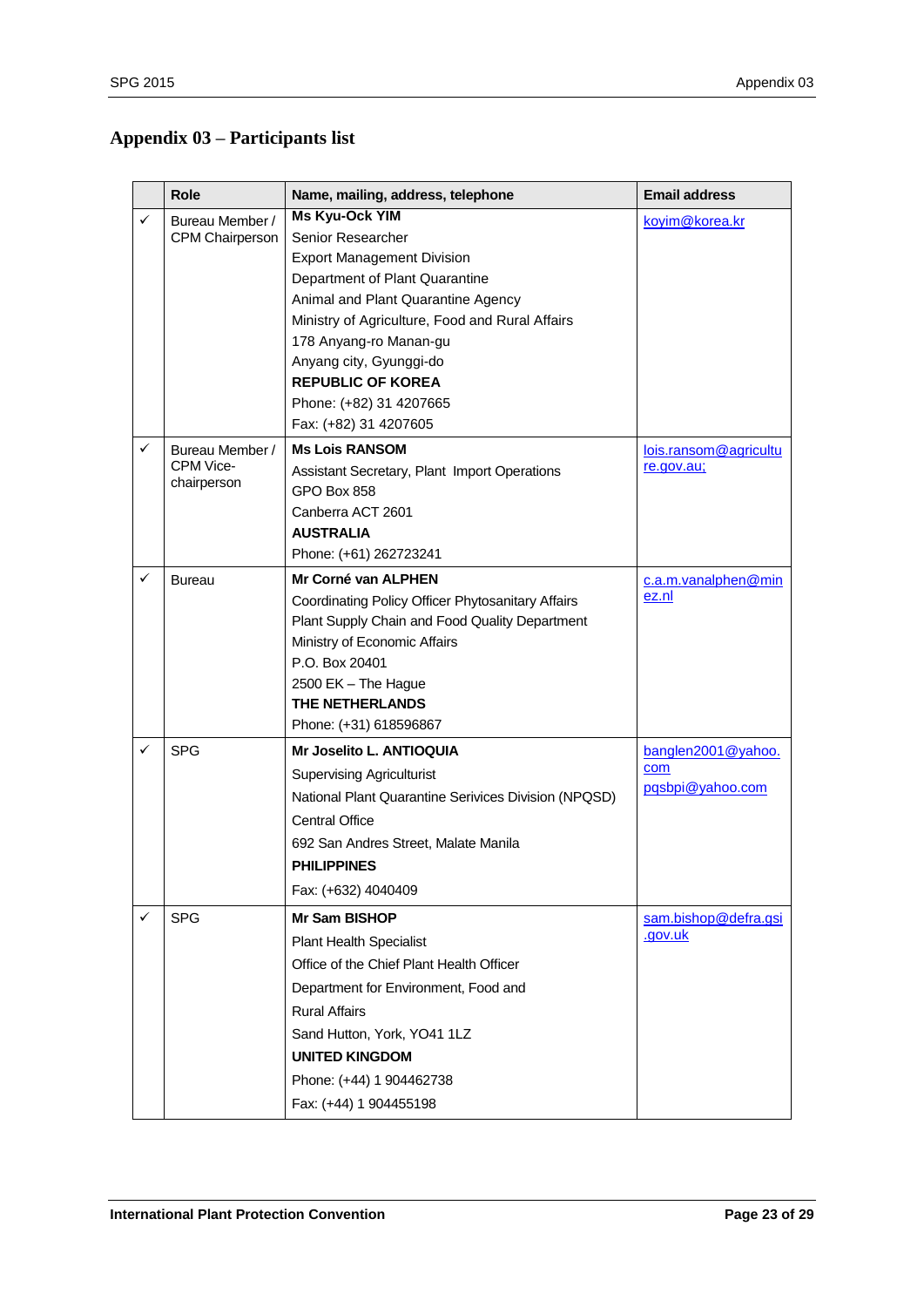# <span id="page-22-0"></span>**Appendix 03 – Participants list**

|   | <b>Role</b>            | Name, mailing, address, telephone                    | <b>Email address</b>      |
|---|------------------------|------------------------------------------------------|---------------------------|
| ✓ | Bureau Member /        | <b>Ms Kyu-Ock YIM</b>                                | koyim@korea.kr            |
|   | <b>CPM Chairperson</b> | Senior Researcher                                    |                           |
|   |                        | <b>Export Management Division</b>                    |                           |
|   |                        | Department of Plant Quarantine                       |                           |
|   |                        | Animal and Plant Quarantine Agency                   |                           |
|   |                        | Ministry of Agriculture, Food and Rural Affairs      |                           |
|   |                        | 178 Anyang-ro Manan-gu<br>Anyang city, Gyunggi-do    |                           |
|   |                        | <b>REPUBLIC OF KOREA</b>                             |                           |
|   |                        | Phone: (+82) 31 4207665                              |                           |
|   |                        | Fax: (+82) 31 4207605                                |                           |
| ✓ | Bureau Member /        | <b>Ms Lois RANSOM</b>                                | lois.ransom@agricultu     |
|   | CPM Vice-              | Assistant Secretary, Plant Import Operations         | re.gov.au;                |
|   | chairperson            | GPO Box 858                                          |                           |
|   |                        | Canberra ACT 2601                                    |                           |
|   |                        | <b>AUSTRALIA</b>                                     |                           |
|   |                        | Phone: (+61) 262723241                               |                           |
| ✓ | <b>Bureau</b>          | Mr Corné van ALPHEN                                  | c.a.m.vanalphen@min       |
|   |                        | Coordinating Policy Officer Phytosanitary Affairs    | ez.nl                     |
|   |                        | Plant Supply Chain and Food Quality Department       |                           |
|   |                        | Ministry of Economic Affairs                         |                           |
|   |                        | P.O. Box 20401                                       |                           |
|   |                        | 2500 EK - The Hague<br><b>THE NETHERLANDS</b>        |                           |
|   |                        | Phone: (+31) 618596867                               |                           |
| ✓ | <b>SPG</b>             | Mr Joselito L. ANTIOQUIA                             |                           |
|   |                        |                                                      | banglen2001@yahoo.<br>com |
|   |                        | <b>Supervising Agriculturist</b>                     | pqsbpi@yahoo.com          |
|   |                        | National Plant Quarantine Serivices Division (NPQSD) |                           |
|   |                        | <b>Central Office</b>                                |                           |
|   |                        | 692 San Andres Street, Malate Manila                 |                           |
|   |                        | <b>PHILIPPINES</b>                                   |                           |
|   |                        | Fax: (+632) 4040409                                  |                           |
| ✓ | <b>SPG</b>             | <b>Mr Sam BISHOP</b>                                 | sam.bishop@defra.gsi      |
|   |                        | <b>Plant Health Specialist</b>                       | .gov.uk                   |
|   |                        | Office of the Chief Plant Health Officer             |                           |
|   |                        | Department for Environment, Food and                 |                           |
|   |                        | <b>Rural Affairs</b>                                 |                           |
|   |                        | Sand Hutton, York, YO41 1LZ                          |                           |
|   |                        | <b>UNITED KINGDOM</b>                                |                           |
|   |                        | Phone: (+44) 1 904462738                             |                           |
|   |                        | Fax: (+44) 1 904455198                               |                           |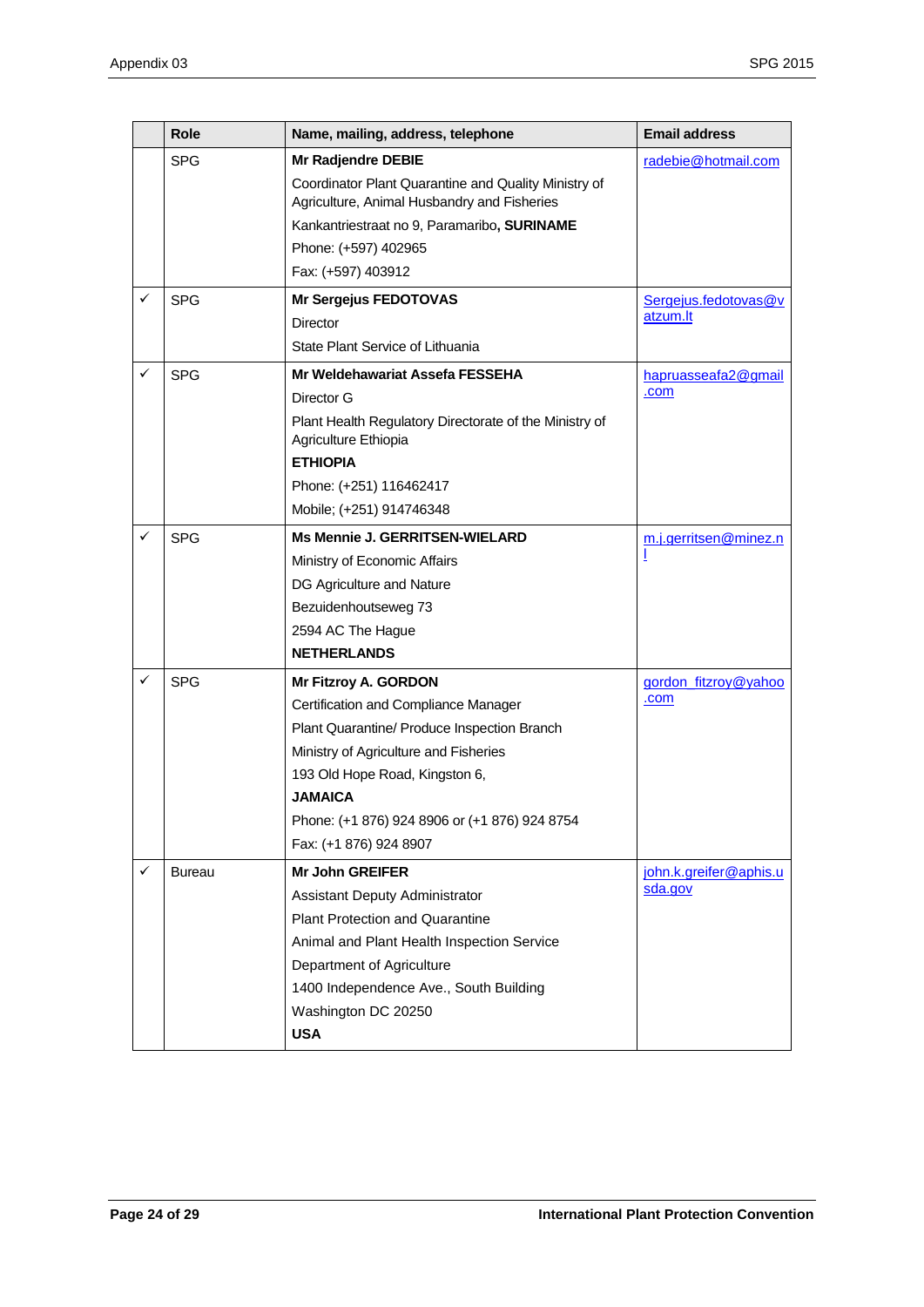|              | Role          | Name, mailing, address, telephone                                              | <b>Email address</b>   |
|--------------|---------------|--------------------------------------------------------------------------------|------------------------|
|              | <b>SPG</b>    | Mr Radjendre DEBIE                                                             | radebie@hotmail.com    |
|              |               | Coordinator Plant Quarantine and Quality Ministry of                           |                        |
|              |               | Agriculture, Animal Husbandry and Fisheries                                    |                        |
|              |               | Kankantriestraat no 9, Paramaribo, SURINAME                                    |                        |
|              |               | Phone: (+597) 402965                                                           |                        |
|              |               | Fax: (+597) 403912                                                             |                        |
| $\checkmark$ | <b>SPG</b>    | <b>Mr Sergejus FEDOTOVAS</b>                                                   | Sergejus.fedotovas@v   |
|              |               | Director                                                                       | atzum.lt               |
|              |               | State Plant Service of Lithuania                                               |                        |
| $\checkmark$ | <b>SPG</b>    | Mr Weldehawariat Assefa FESSEHA                                                | hapruasseafa2@gmail    |
|              |               | Director G                                                                     | .com                   |
|              |               | Plant Health Regulatory Directorate of the Ministry of<br>Agriculture Ethiopia |                        |
|              |               | <b>ETHIOPIA</b>                                                                |                        |
|              |               | Phone: (+251) 116462417                                                        |                        |
|              |               | Mobile; (+251) 914746348                                                       |                        |
| $\checkmark$ | <b>SPG</b>    | Ms Mennie J. GERRITSEN-WIELARD                                                 | m.j.gerritsen@minez.n  |
|              |               | Ministry of Economic Affairs                                                   |                        |
|              |               | DG Agriculture and Nature                                                      |                        |
|              |               | Bezuidenhoutseweg 73                                                           |                        |
|              |               | 2594 AC The Hague                                                              |                        |
|              |               | <b>NETHERLANDS</b>                                                             |                        |
| ✓            | <b>SPG</b>    | Mr Fitzroy A. GORDON                                                           | gordon_fitzroy@yahoo   |
|              |               | Certification and Compliance Manager                                           | .com                   |
|              |               | Plant Quarantine/ Produce Inspection Branch                                    |                        |
|              |               | Ministry of Agriculture and Fisheries                                          |                        |
|              |               | 193 Old Hope Road, Kingston 6,                                                 |                        |
|              |               | <b>JAMAICA</b>                                                                 |                        |
|              |               | Phone: (+1 876) 924 8906 or (+1 876) 924 8754                                  |                        |
|              |               | Fax: (+1 876) 924 8907                                                         |                        |
| $\checkmark$ | <b>Bureau</b> | <b>Mr John GREIFER</b>                                                         | john.k.greifer@aphis.u |
|              |               | Assistant Deputy Administrator                                                 | sda.gov                |
|              |               | <b>Plant Protection and Quarantine</b>                                         |                        |
|              |               | Animal and Plant Health Inspection Service                                     |                        |
|              |               | Department of Agriculture                                                      |                        |
|              |               | 1400 Independence Ave., South Building                                         |                        |
|              |               | Washington DC 20250                                                            |                        |
|              |               | <b>USA</b>                                                                     |                        |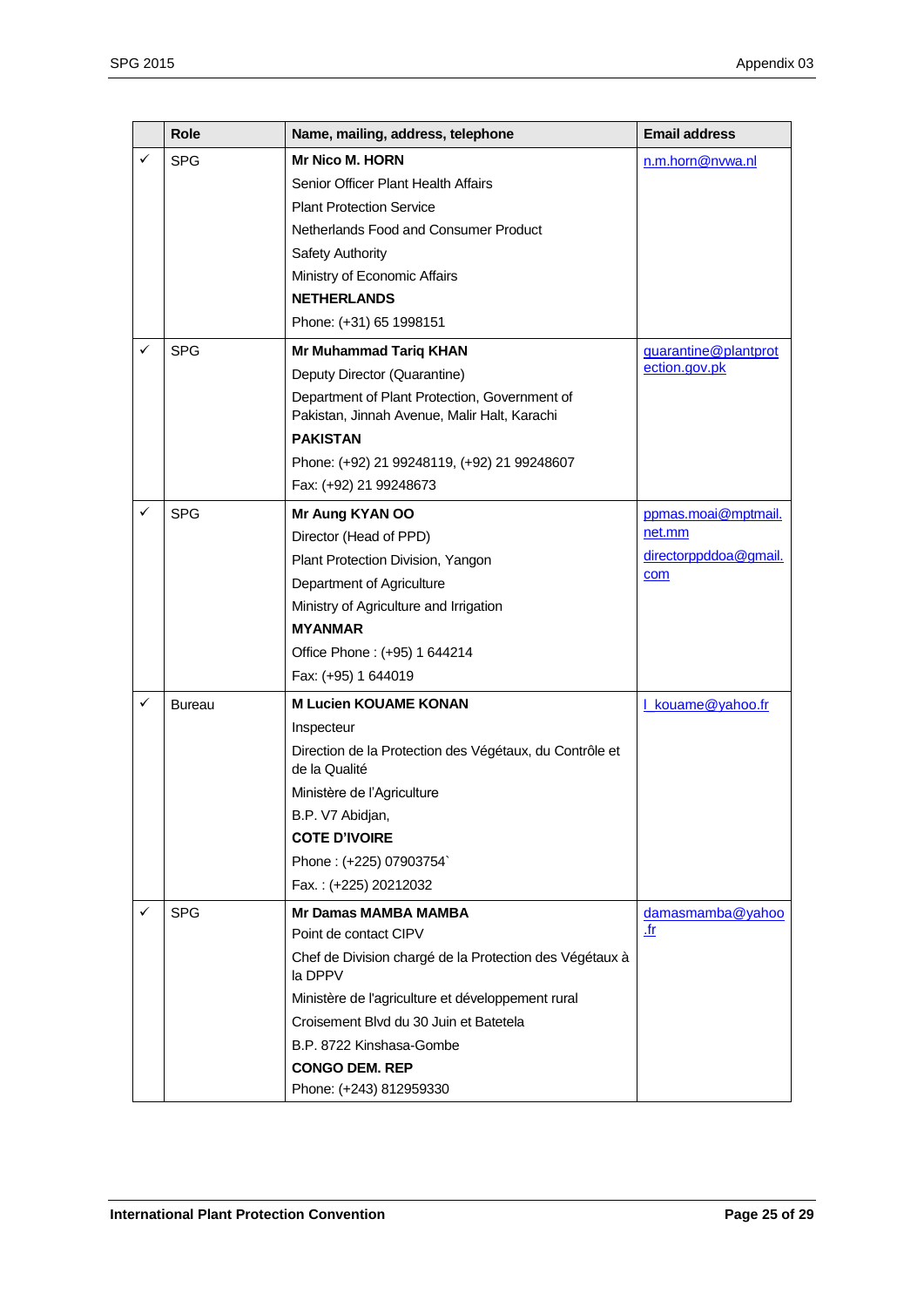|              | <b>Role</b>   | Name, mailing, address, telephone                                                             | <b>Email address</b>  |
|--------------|---------------|-----------------------------------------------------------------------------------------------|-----------------------|
| ✓            | <b>SPG</b>    | <b>Mr Nico M. HORN</b>                                                                        | n.m.horn@nvwa.nl      |
|              |               | Senior Officer Plant Health Affairs                                                           |                       |
|              |               | <b>Plant Protection Service</b>                                                               |                       |
|              |               | Netherlands Food and Consumer Product                                                         |                       |
|              |               | Safety Authority                                                                              |                       |
|              |               | Ministry of Economic Affairs                                                                  |                       |
|              |               | <b>NETHERLANDS</b>                                                                            |                       |
|              |               | Phone: (+31) 65 1998151                                                                       |                       |
| ✓            | <b>SPG</b>    | <b>Mr Muhammad Tariq KHAN</b>                                                                 | guarantine@plantprot  |
|              |               | Deputy Director (Quarantine)                                                                  | ection.gov.pk         |
|              |               | Department of Plant Protection, Government of<br>Pakistan, Jinnah Avenue, Malir Halt, Karachi |                       |
|              |               | <b>PAKISTAN</b>                                                                               |                       |
|              |               | Phone: (+92) 21 99248119, (+92) 21 99248607                                                   |                       |
|              |               | Fax: (+92) 21 99248673                                                                        |                       |
| ✓            | <b>SPG</b>    | Mr Aung KYAN OO                                                                               | ppmas.moai@mptmail.   |
|              |               | Director (Head of PPD)                                                                        | net.mm                |
|              |               | Plant Protection Division, Yangon                                                             | directorppddoa@gmail. |
|              |               | Department of Agriculture                                                                     | com                   |
|              |               | Ministry of Agriculture and Irrigation                                                        |                       |
|              |               | <b>MYANMAR</b>                                                                                |                       |
|              |               | Office Phone: (+95) 1 644214                                                                  |                       |
|              |               | Fax: (+95) 1 644019                                                                           |                       |
| ✓            | <b>Bureau</b> | <b>M Lucien KOUAME KONAN</b>                                                                  | L kouame@yahoo.fr     |
|              |               | Inspecteur                                                                                    |                       |
|              |               | Direction de la Protection des Végétaux, du Contrôle et<br>de la Qualité                      |                       |
|              |               | Ministère de l'Agriculture                                                                    |                       |
|              |               | B.P. V7 Abidjan,                                                                              |                       |
|              |               | <b>COTE D'IVOIRE</b>                                                                          |                       |
|              |               | Phone: (+225) 07903754`                                                                       |                       |
|              |               | Fax.: (+225) 20212032                                                                         |                       |
| $\checkmark$ | <b>SPG</b>    | <b>Mr Damas MAMBA MAMBA</b>                                                                   | damasmamba@yahoo      |
|              |               | Point de contact CIPV                                                                         | .fr                   |
|              |               | Chef de Division chargé de la Protection des Végétaux à<br>la DPPV                            |                       |
|              |               | Ministère de l'agriculture et développement rural                                             |                       |
|              |               | Croisement Blvd du 30 Juin et Batetela                                                        |                       |
|              |               | B.P. 8722 Kinshasa-Gombe                                                                      |                       |
|              |               | <b>CONGO DEM. REP</b>                                                                         |                       |
|              |               | Phone: (+243) 812959330                                                                       |                       |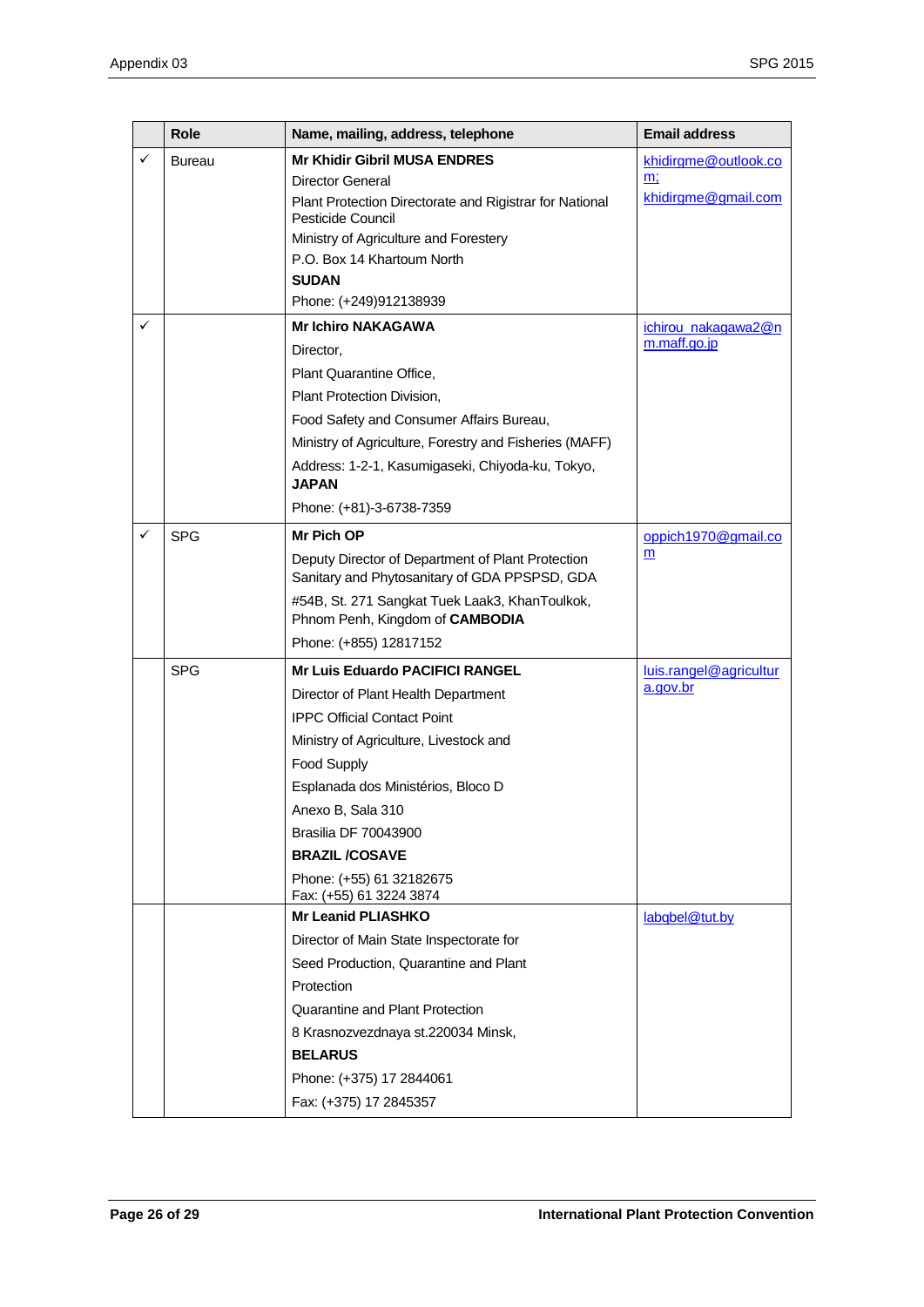|              | <b>Role</b>   | Name, mailing, address, telephone                                                                  | <b>Email address</b>                |
|--------------|---------------|----------------------------------------------------------------------------------------------------|-------------------------------------|
| ✓            | <b>Bureau</b> | <b>Mr Khidir Gibril MUSA ENDRES</b>                                                                | khidirgme@outlook.co                |
|              |               | <b>Director General</b>                                                                            | m;                                  |
|              |               | Plant Protection Directorate and Rigistrar for National<br>Pesticide Council                       | khidirgme@gmail.com                 |
|              |               | Ministry of Agriculture and Forestery                                                              |                                     |
|              |               | P.O. Box 14 Khartoum North                                                                         |                                     |
|              |               | <b>SUDAN</b>                                                                                       |                                     |
|              |               | Phone: (+249)912138939                                                                             |                                     |
| ✓            |               | <b>Mr Ichiro NAKAGAWA</b>                                                                          | ichirou nakagawa2@n<br>m.maff.go.jp |
|              |               | Director,                                                                                          |                                     |
|              |               | Plant Quarantine Office,                                                                           |                                     |
|              |               | Plant Protection Division,                                                                         |                                     |
|              |               | Food Safety and Consumer Affairs Bureau,                                                           |                                     |
|              |               | Ministry of Agriculture, Forestry and Fisheries (MAFF)                                             |                                     |
|              |               | Address: 1-2-1, Kasumigaseki, Chiyoda-ku, Tokyo,<br><b>JAPAN</b>                                   |                                     |
|              |               | Phone: (+81)-3-6738-7359                                                                           |                                     |
| $\checkmark$ | <b>SPG</b>    | Mr Pich OP                                                                                         | oppich1970@gmail.co                 |
|              |               | Deputy Director of Department of Plant Protection<br>Sanitary and Phytosanitary of GDA PPSPSD, GDA | m                                   |
|              |               | #54B, St. 271 Sangkat Tuek Laak3, KhanToulkok,<br>Phnom Penh, Kingdom of CAMBODIA                  |                                     |
|              |               | Phone: (+855) 12817152                                                                             |                                     |
|              | <b>SPG</b>    | <b>Mr Luis Eduardo PACIFICI RANGEL</b>                                                             | luis.rangel@agricultur              |
|              |               | Director of Plant Health Department                                                                | a.gov.br                            |
|              |               | <b>IPPC Official Contact Point</b>                                                                 |                                     |
|              |               | Ministry of Agriculture, Livestock and                                                             |                                     |
|              |               | Food Supply                                                                                        |                                     |
|              |               | Esplanada dos Ministérios, Bloco D                                                                 |                                     |
|              |               | Anexo B, Sala 310                                                                                  |                                     |
|              |               | <b>Brasilia DF 70043900</b>                                                                        |                                     |
|              |               | <b>BRAZIL/COSAVE</b>                                                                               |                                     |
|              |               | Phone: (+55) 61 32182675<br>Fax: (+55) 61 3224 3874                                                |                                     |
|              |               | <b>Mr Leanid PLIASHKO</b>                                                                          | labgbel@tut.by                      |
|              |               | Director of Main State Inspectorate for                                                            |                                     |
|              |               | Seed Production, Quarantine and Plant                                                              |                                     |
|              |               | Protection                                                                                         |                                     |
|              |               | Quarantine and Plant Protection                                                                    |                                     |
|              |               | 8 Krasnozvezdnaya st.220034 Minsk,                                                                 |                                     |
|              |               | <b>BELARUS</b>                                                                                     |                                     |
|              |               | Phone: (+375) 17 2844061                                                                           |                                     |
|              |               | Fax: (+375) 17 2845357                                                                             |                                     |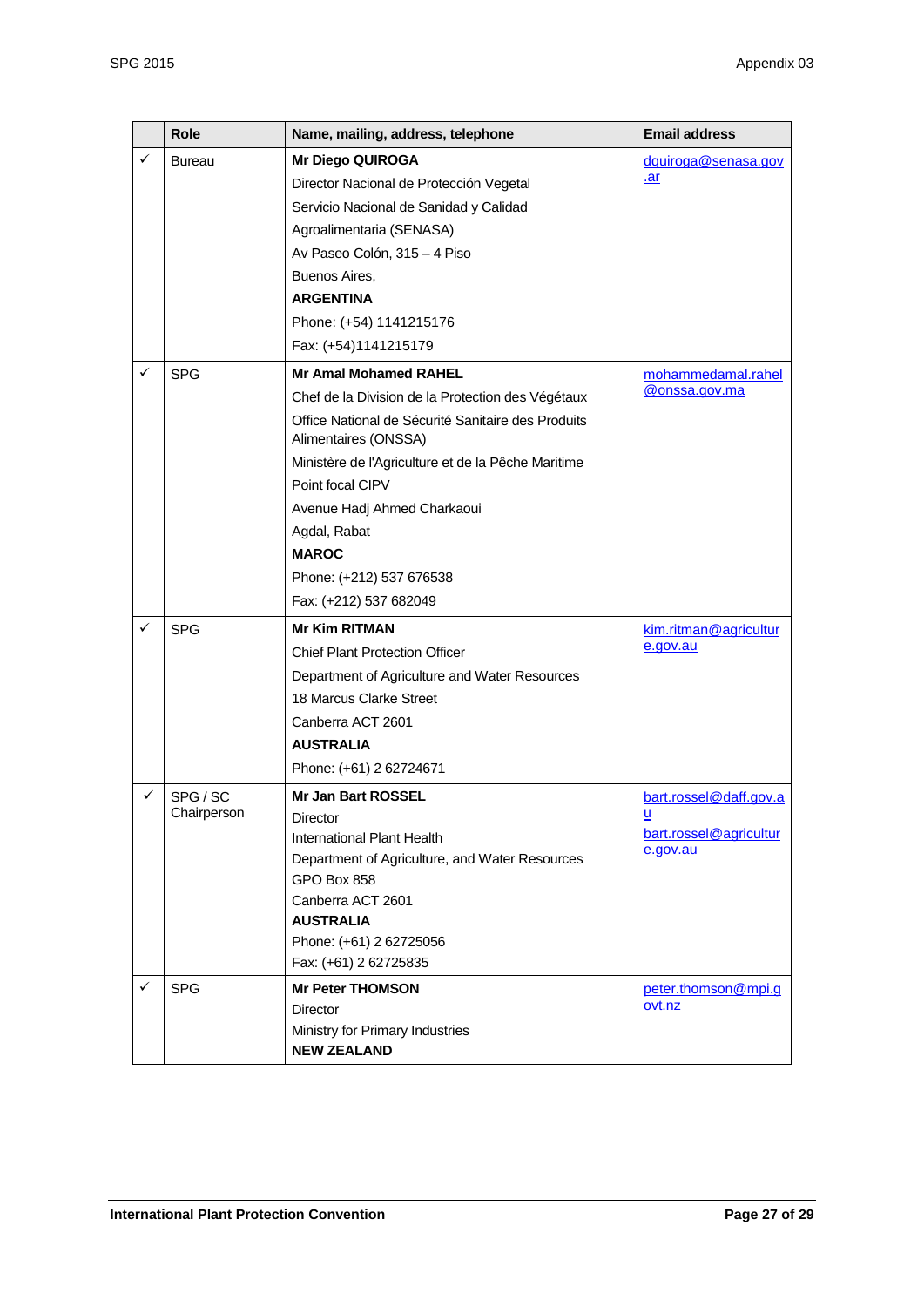|   | Role                    | Name, mailing, address, telephone                                          | <b>Email address</b>        |
|---|-------------------------|----------------------------------------------------------------------------|-----------------------------|
| ✓ | Bureau                  | <b>Mr Diego QUIROGA</b><br>Director Nacional de Protección Vegetal         | dquiroga@senasa.gov<br>.ar  |
|   |                         | Servicio Nacional de Sanidad y Calidad                                     |                             |
|   |                         | Agroalimentaria (SENASA)                                                   |                             |
|   |                         | Av Paseo Colón, 315 - 4 Piso                                               |                             |
|   |                         | Buenos Aires,                                                              |                             |
|   |                         | <b>ARGENTINA</b>                                                           |                             |
|   |                         | Phone: (+54) 1141215176                                                    |                             |
|   |                         | Fax: (+54)1141215179                                                       |                             |
| ✓ | <b>SPG</b>              | <b>Mr Amal Mohamed RAHEL</b>                                               | mohammedamal.rahel          |
|   |                         | Chef de la Division de la Protection des Végétaux                          | @onssa.gov.ma               |
|   |                         | Office National de Sécurité Sanitaire des Produits<br>Alimentaires (ONSSA) |                             |
|   |                         | Ministère de l'Agriculture et de la Pêche Maritime                         |                             |
|   |                         | Point focal CIPV                                                           |                             |
|   |                         | Avenue Hadj Ahmed Charkaoui                                                |                             |
|   |                         | Agdal, Rabat                                                               |                             |
|   |                         | <b>MAROC</b>                                                               |                             |
|   |                         | Phone: (+212) 537 676538                                                   |                             |
|   |                         | Fax: (+212) 537 682049                                                     |                             |
| ✓ | <b>SPG</b>              | <b>Mr Kim RITMAN</b>                                                       | kim.ritman@agricultur       |
|   |                         | <b>Chief Plant Protection Officer</b>                                      | e.gov.au                    |
|   |                         | Department of Agriculture and Water Resources                              |                             |
|   |                         | 18 Marcus Clarke Street                                                    |                             |
|   |                         | Canberra ACT 2601                                                          |                             |
|   |                         | <b>AUSTRALIA</b>                                                           |                             |
|   |                         | Phone: (+61) 2 62724671                                                    |                             |
| ✓ | SPG / SC<br>Chairperson | <b>Mr Jan Bart ROSSEL</b>                                                  | bart.rossel@daff.gov.a      |
|   |                         | Director<br>International Plant Health                                     | ≝<br>bart.rossel@agricultur |
|   |                         | Department of Agriculture, and Water Resources                             | e.gov.au                    |
|   |                         | GPO Box 858                                                                |                             |
|   |                         | Canberra ACT 2601                                                          |                             |
|   |                         | <b>AUSTRALIA</b>                                                           |                             |
|   |                         | Phone: (+61) 2 62725056                                                    |                             |
|   |                         | Fax: (+61) 2 62725835                                                      |                             |
| ✓ | <b>SPG</b>              | <b>Mr Peter THOMSON</b>                                                    | peter.thomson@mpi.g         |
|   |                         | Director                                                                   | ovt.nz                      |
|   |                         | Ministry for Primary Industries<br><b>NEW ZEALAND</b>                      |                             |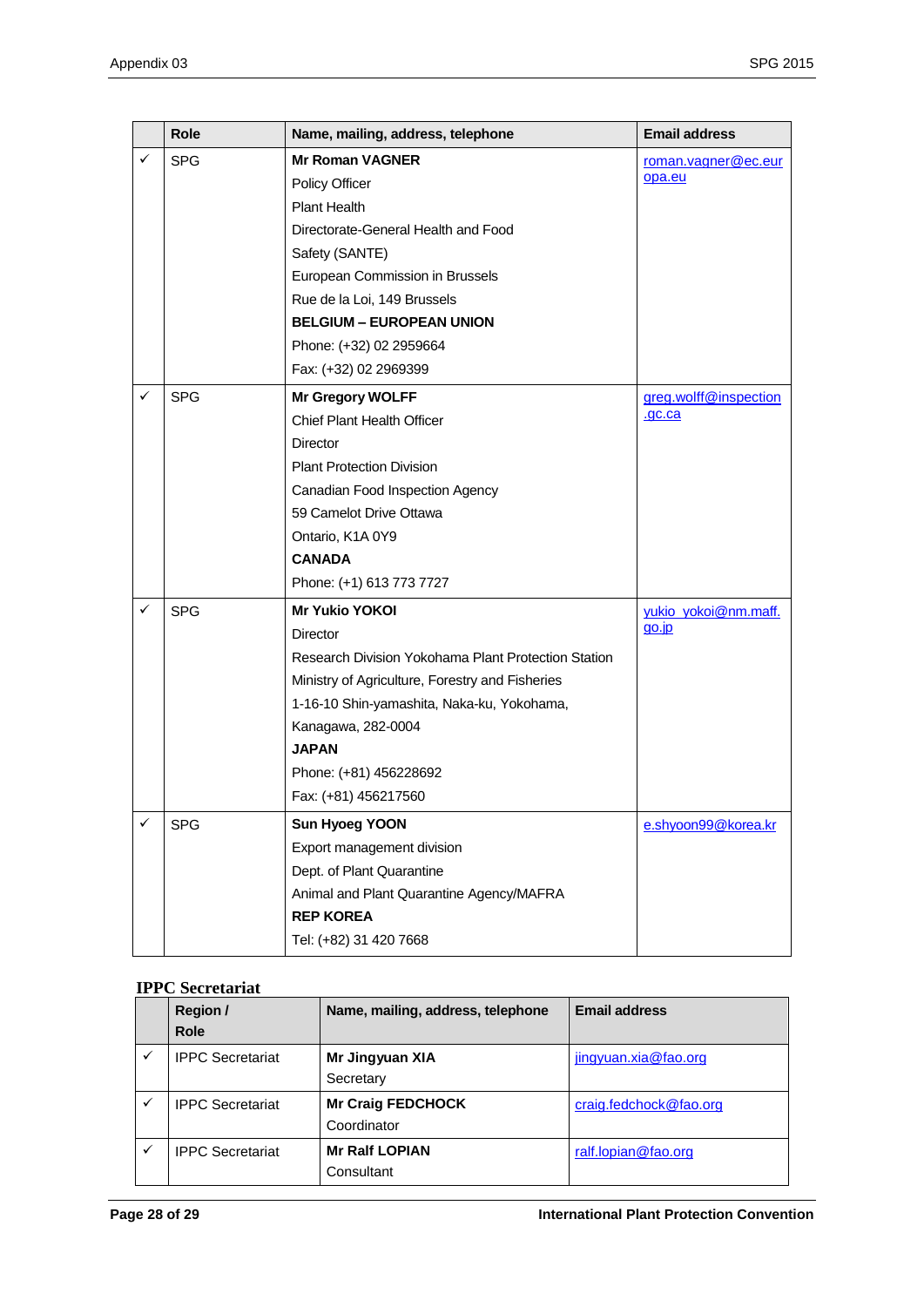|   | <b>Role</b> | Name, mailing, address, telephone                   | <b>Email address</b>  |
|---|-------------|-----------------------------------------------------|-----------------------|
| ✓ | <b>SPG</b>  | <b>Mr Roman VAGNER</b>                              | roman.vagner@ec.eur   |
|   |             | <b>Policy Officer</b>                               | opa.eu                |
|   |             | <b>Plant Health</b>                                 |                       |
|   |             | Directorate-General Health and Food                 |                       |
|   |             | Safety (SANTE)                                      |                       |
|   |             | European Commission in Brussels                     |                       |
|   |             | Rue de la Loi, 149 Brussels                         |                       |
|   |             | <b>BELGIUM - EUROPEAN UNION</b>                     |                       |
|   |             | Phone: (+32) 02 2959664                             |                       |
|   |             | Fax: (+32) 02 2969399                               |                       |
| ✓ | <b>SPG</b>  | Mr Gregory WOLFF                                    | greg.wolff@inspection |
|   |             | <b>Chief Plant Health Officer</b>                   | .gc.ca                |
|   |             | Director                                            |                       |
|   |             | <b>Plant Protection Division</b>                    |                       |
|   |             | Canadian Food Inspection Agency                     |                       |
|   |             | 59 Camelot Drive Ottawa                             |                       |
|   |             | Ontario, K1A 0Y9                                    |                       |
|   |             | <b>CANADA</b>                                       |                       |
|   |             | Phone: (+1) 613 773 7727                            |                       |
| ✓ | <b>SPG</b>  | <b>Mr Yukio YOKOI</b>                               | yukio yokoi@nm.maff.  |
|   |             | <b>Director</b>                                     | $qo$ .jp              |
|   |             | Research Division Yokohama Plant Protection Station |                       |
|   |             | Ministry of Agriculture, Forestry and Fisheries     |                       |
|   |             | 1-16-10 Shin-yamashita, Naka-ku, Yokohama,          |                       |
|   |             | Kanagawa, 282-0004                                  |                       |
|   |             | <b>JAPAN</b>                                        |                       |
|   |             | Phone: (+81) 456228692                              |                       |
|   |             | Fax: (+81) 456217560                                |                       |
| ✓ | <b>SPG</b>  | <b>Sun Hyoeg YOON</b>                               | e.shyoon99@korea.kr   |
|   |             | Export management division                          |                       |
|   |             | Dept. of Plant Quarantine                           |                       |
|   |             | Animal and Plant Quarantine Agency/MAFRA            |                       |
|   |             | <b>REP KOREA</b>                                    |                       |
|   |             | Tel: (+82) 31 420 7668                              |                       |

#### **IPPC Secretariat**

| Region /<br><b>Role</b> | Name, mailing, address, telephone | <b>Email address</b>   |
|-------------------------|-----------------------------------|------------------------|
| <b>IPPC Secretariat</b> | Mr Jingyuan XIA                   | jingyuan.xia@fao.org   |
|                         | Secretary                         |                        |
| <b>IPPC Secretariat</b> | <b>Mr Craig FEDCHOCK</b>          | craig.fedchock@fao.org |
|                         | Coordinator                       |                        |
| <b>IPPC Secretariat</b> | <b>Mr Ralf LOPIAN</b>             | ralf.lopian@fao.org    |
|                         | Consultant                        |                        |